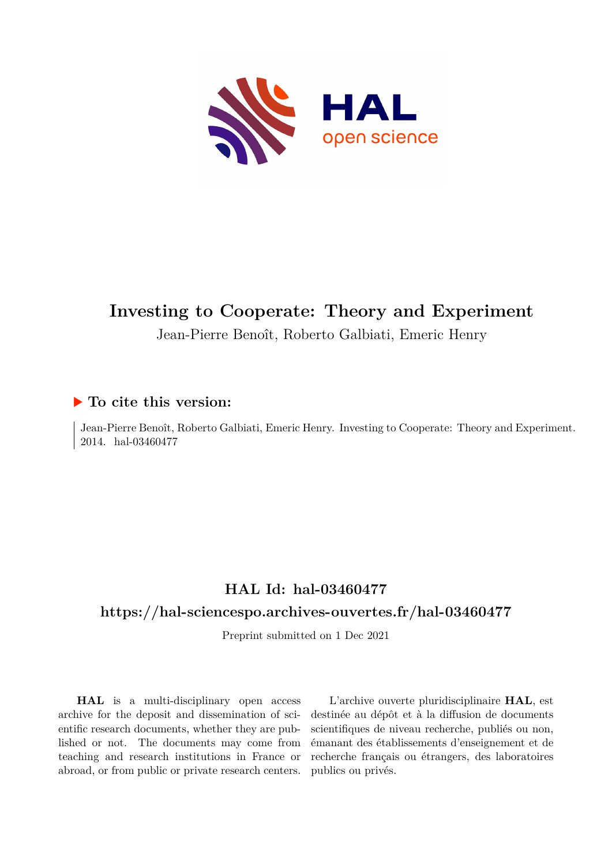

# **Investing to Cooperate: Theory and Experiment**

Jean-Pierre Benoît, Roberto Galbiati, Emeric Henry

## **To cite this version:**

Jean-Pierre Benoît, Roberto Galbiati, Emeric Henry. Investing to Cooperate: Theory and Experiment. 2014. hal-03460477

## **HAL Id: hal-03460477**

## **<https://hal-sciencespo.archives-ouvertes.fr/hal-03460477>**

Preprint submitted on 1 Dec 2021

**HAL** is a multi-disciplinary open access archive for the deposit and dissemination of scientific research documents, whether they are published or not. The documents may come from teaching and research institutions in France or abroad, or from public or private research centers.

L'archive ouverte pluridisciplinaire **HAL**, est destinée au dépôt et à la diffusion de documents scientifiques de niveau recherche, publiés ou non, émanant des établissements d'enseignement et de recherche français ou étrangers, des laboratoires publics ou privés.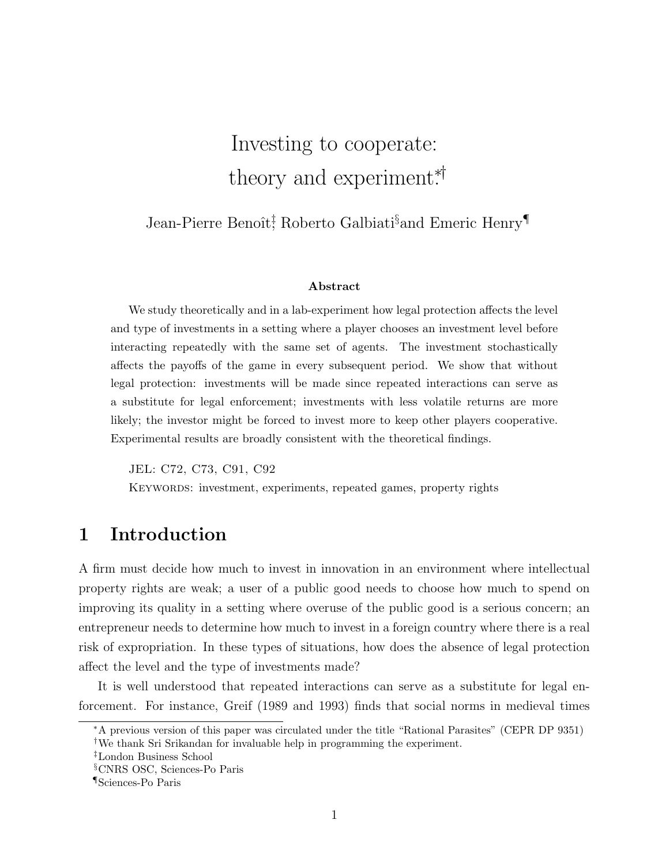# Investing to cooperate: theory and experiment\*<sup>†</sup>

Jean-Pierre Benoît<sup>†</sup>, Roberto Galbiati<sup>§</sup>and Emeric Henry<sup>¶</sup>

#### Abstract

We study theoretically and in a lab-experiment how legal protection affects the level and type of investments in a setting where a player chooses an investment level before interacting repeatedly with the same set of agents. The investment stochastically affects the payoffs of the game in every subsequent period. We show that without legal protection: investments will be made since repeated interactions can serve as a substitute for legal enforcement; investments with less volatile returns are more likely; the investor might be forced to invest more to keep other players cooperative. Experimental results are broadly consistent with the theoretical findings.

JEL: C72, C73, C91, C92 KEYWORDS: investment, experiments, repeated games, property rights

## 1 Introduction

A firm must decide how much to invest in innovation in an environment where intellectual property rights are weak; a user of a public good needs to choose how much to spend on improving its quality in a setting where overuse of the public good is a serious concern; an entrepreneur needs to determine how much to invest in a foreign country where there is a real risk of expropriation. In these types of situations, how does the absence of legal protection affect the level and the type of investments made?

It is well understood that repeated interactions can serve as a substitute for legal enforcement. For instance, Greif (1989 and 1993) finds that social norms in medieval times

<sup>∗</sup>A previous version of this paper was circulated under the title "Rational Parasites" (CEPR DP 9351) †We thank Sri Srikandan for invaluable help in programming the experiment.

<sup>‡</sup>London Business School

<sup>§</sup>CNRS OSC, Sciences-Po Paris

<sup>¶</sup>Sciences-Po Paris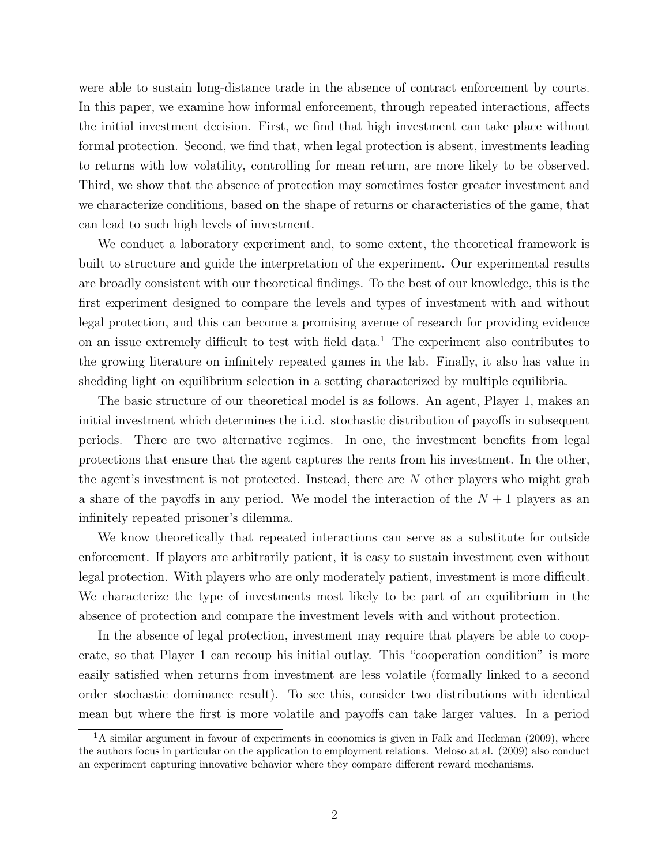were able to sustain long-distance trade in the absence of contract enforcement by courts. In this paper, we examine how informal enforcement, through repeated interactions, affects the initial investment decision. First, we find that high investment can take place without formal protection. Second, we find that, when legal protection is absent, investments leading to returns with low volatility, controlling for mean return, are more likely to be observed. Third, we show that the absence of protection may sometimes foster greater investment and we characterize conditions, based on the shape of returns or characteristics of the game, that can lead to such high levels of investment.

We conduct a laboratory experiment and, to some extent, the theoretical framework is built to structure and guide the interpretation of the experiment. Our experimental results are broadly consistent with our theoretical findings. To the best of our knowledge, this is the first experiment designed to compare the levels and types of investment with and without legal protection, and this can become a promising avenue of research for providing evidence on an issue extremely difficult to test with field data.<sup>1</sup> The experiment also contributes to the growing literature on infinitely repeated games in the lab. Finally, it also has value in shedding light on equilibrium selection in a setting characterized by multiple equilibria.

The basic structure of our theoretical model is as follows. An agent, Player 1, makes an initial investment which determines the i.i.d. stochastic distribution of payoffs in subsequent periods. There are two alternative regimes. In one, the investment benefits from legal protections that ensure that the agent captures the rents from his investment. In the other, the agent's investment is not protected. Instead, there are N other players who might grab a share of the payoffs in any period. We model the interaction of the  $N+1$  players as an infinitely repeated prisoner's dilemma.

We know theoretically that repeated interactions can serve as a substitute for outside enforcement. If players are arbitrarily patient, it is easy to sustain investment even without legal protection. With players who are only moderately patient, investment is more difficult. We characterize the type of investments most likely to be part of an equilibrium in the absence of protection and compare the investment levels with and without protection.

In the absence of legal protection, investment may require that players be able to cooperate, so that Player 1 can recoup his initial outlay. This "cooperation condition" is more easily satisfied when returns from investment are less volatile (formally linked to a second order stochastic dominance result). To see this, consider two distributions with identical mean but where the first is more volatile and payoffs can take larger values. In a period

 $1<sup>1</sup>A$  similar argument in favour of experiments in economics is given in Falk and Heckman (2009), where the authors focus in particular on the application to employment relations. Meloso at al. (2009) also conduct an experiment capturing innovative behavior where they compare different reward mechanisms.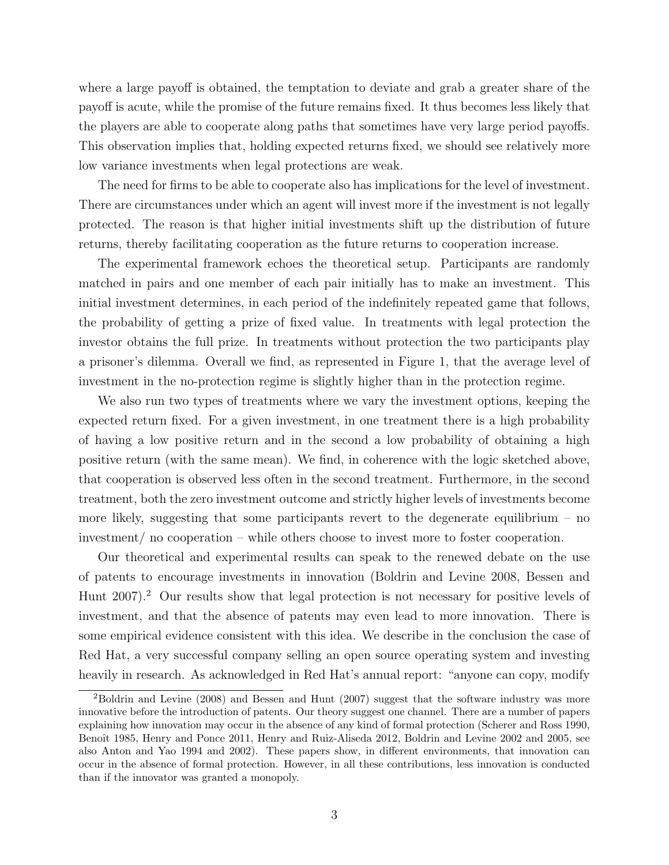where a large payoff is obtained, the temptation to deviate and grab a greater share of the payoff is acute, while the promise of the future remains fixed. It thus becomes less likely that the players are able to cooperate along paths that sometimes have very large period payoffs. This observation implies that, holding expected returns fixed, we should see relatively more low variance investments when legal protections are weak.

The need for firms to be able to cooperate also has implications for the level of investment. There are circumstances under which an agent will invest more if the investment is not legally protected. The reason is that higher initial investments shift up the distribution of future returns, thereby facilitating cooperation as the future returns to cooperation increase.

The experimental framework echoes the theoretical setup. Participants are randomly matched in pairs and one member of each pair initially has to make an investment. This initial investment determines, in each period of the indefinitely repeated game that follows, the probability of getting a prize of fixed value. In treatments with legal protection the investor obtains the full prize. In treatments without protection the two participants play a prisoner's dilemma. Overall we find, as represented in Figure 1, that the average level of investment in the no-protection regime is slightly higher than in the protection regime.

We also run two types of treatments where we vary the investment options, keeping the expected return fixed. For a given investment, in one treatment there is a high probability of having a low positive return and in the second a low probability of obtaining a high positive return (with the same mean). We find, in coherence with the logic sketched above, that cooperation is observed less often in the second treatment. Furthermore, in the second treatment, both the zero investment outcome and strictly higher levels of investments become more likely, suggesting that some participants revert to the degenerate equilibrium  $-$  no investment/ no cooperation – while others choose to invest more to foster cooperation.

Our theoretical and experimental results can speak to the renewed debate on the use of patents to encourage investments in innovation (Boldrin and Levine 2008, Bessen and Hunt 2007).<sup>2</sup> Our results show that legal protection is not necessary for positive levels of investment, and that the absence of patents may even lead to more innovation. There is some empirical evidence consistent with this idea. We describe in the conclusion the case of Red Hat, a very successful company selling an open source operating system and investing heavily in research. As acknowledged in Red Hat's annual report: "anyone can copy, modify

 $2B$ oldrin and Levine (2008) and Bessen and Hunt (2007) suggest that the software industry was more innovative before the introduction of patents. Our theory suggest one channel. There are a number of papers explaining how innovation may occur in the absence of any kind of formal protection (Scherer and Ross 1990, Benoît 1985, Henry and Ponce 2011, Henry and Ruiz-Aliseda 2012, Boldrin and Levine 2002 and 2005, see also Anton and Yao 1994 and 2002). These papers show, in different environments, that innovation can occur in the absence of formal protection. However, in all these contributions, less innovation is conducted than if the innovator was granted a monopoly.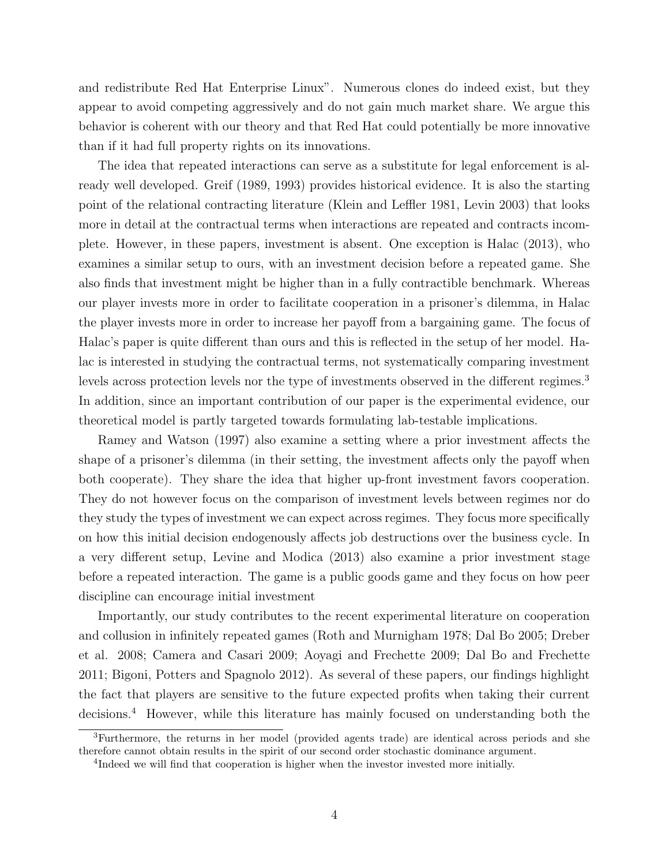and redistribute Red Hat Enterprise Linux". Numerous clones do indeed exist, but they appear to avoid competing aggressively and do not gain much market share. We argue this behavior is coherent with our theory and that Red Hat could potentially be more innovative than if it had full property rights on its innovations.

The idea that repeated interactions can serve as a substitute for legal enforcement is already well developed. Greif (1989, 1993) provides historical evidence. It is also the starting point of the relational contracting literature (Klein and Leffler 1981, Levin 2003) that looks more in detail at the contractual terms when interactions are repeated and contracts incomplete. However, in these papers, investment is absent. One exception is Halac (2013), who examines a similar setup to ours, with an investment decision before a repeated game. She also finds that investment might be higher than in a fully contractible benchmark. Whereas our player invests more in order to facilitate cooperation in a prisoner's dilemma, in Halac the player invests more in order to increase her payoff from a bargaining game. The focus of Halac's paper is quite different than ours and this is reflected in the setup of her model. Halac is interested in studying the contractual terms, not systematically comparing investment levels across protection levels nor the type of investments observed in the different regimes.<sup>3</sup> In addition, since an important contribution of our paper is the experimental evidence, our theoretical model is partly targeted towards formulating lab-testable implications.

Ramey and Watson (1997) also examine a setting where a prior investment affects the shape of a prisoner's dilemma (in their setting, the investment affects only the payoff when both cooperate). They share the idea that higher up-front investment favors cooperation. They do not however focus on the comparison of investment levels between regimes nor do they study the types of investment we can expect across regimes. They focus more specifically on how this initial decision endogenously affects job destructions over the business cycle. In a very different setup, Levine and Modica (2013) also examine a prior investment stage before a repeated interaction. The game is a public goods game and they focus on how peer discipline can encourage initial investment

Importantly, our study contributes to the recent experimental literature on cooperation and collusion in infinitely repeated games (Roth and Murnigham 1978; Dal Bo 2005; Dreber et al. 2008; Camera and Casari 2009; Aoyagi and Frechette 2009; Dal Bo and Frechette 2011; Bigoni, Potters and Spagnolo 2012). As several of these papers, our findings highlight the fact that players are sensitive to the future expected profits when taking their current decisions.<sup>4</sup> However, while this literature has mainly focused on understanding both the

<sup>3</sup>Furthermore, the returns in her model (provided agents trade) are identical across periods and she therefore cannot obtain results in the spirit of our second order stochastic dominance argument.

<sup>&</sup>lt;sup>4</sup>Indeed we will find that cooperation is higher when the investor invested more initially.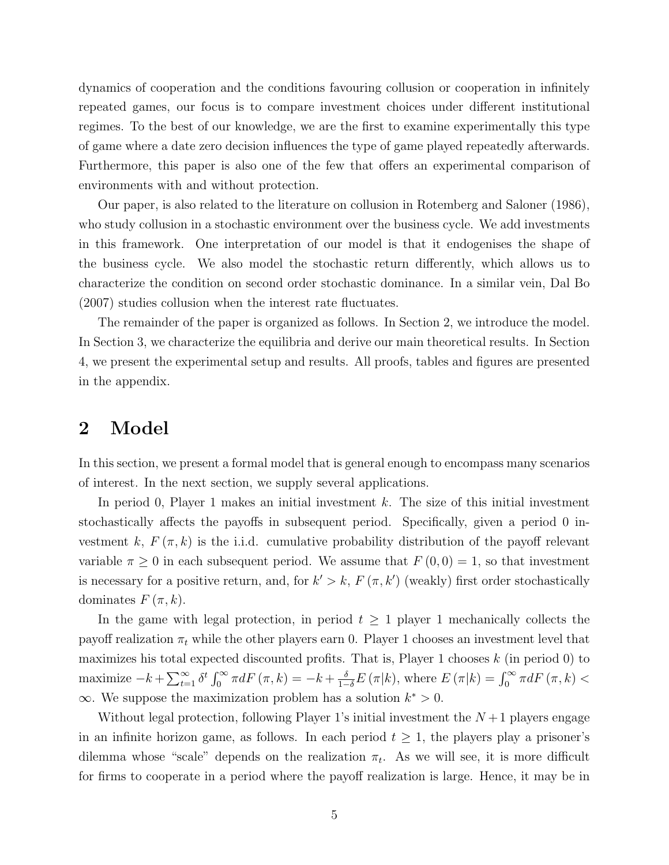dynamics of cooperation and the conditions favouring collusion or cooperation in infinitely repeated games, our focus is to compare investment choices under different institutional regimes. To the best of our knowledge, we are the first to examine experimentally this type of game where a date zero decision influences the type of game played repeatedly afterwards. Furthermore, this paper is also one of the few that offers an experimental comparison of environments with and without protection.

Our paper, is also related to the literature on collusion in Rotemberg and Saloner (1986), who study collusion in a stochastic environment over the business cycle. We add investments in this framework. One interpretation of our model is that it endogenises the shape of the business cycle. We also model the stochastic return differently, which allows us to characterize the condition on second order stochastic dominance. In a similar vein, Dal Bo (2007) studies collusion when the interest rate fluctuates.

The remainder of the paper is organized as follows. In Section 2, we introduce the model. In Section 3, we characterize the equilibria and derive our main theoretical results. In Section 4, we present the experimental setup and results. All proofs, tables and figures are presented in the appendix.

## 2 Model

In this section, we present a formal model that is general enough to encompass many scenarios of interest. In the next section, we supply several applications.

In period 0, Player 1 makes an initial investment k. The size of this initial investment stochastically affects the payoffs in subsequent period. Specifically, given a period 0 investment k,  $F(\pi, k)$  is the i.i.d. cumulative probability distribution of the payoff relevant variable  $\pi \geq 0$  in each subsequent period. We assume that  $F(0,0) = 1$ , so that investment is necessary for a positive return, and, for  $k' > k$ ,  $F(\pi, k')$  (weakly) first order stochastically dominates  $F(\pi, k)$ .

In the game with legal protection, in period  $t \geq 1$  player 1 mechanically collects the payoff realization  $\pi_t$  while the other players earn 0. Player 1 chooses an investment level that maximizes his total expected discounted profits. That is, Player 1 chooses  $k$  (in period 0) to maximize  $-k + \sum_{t=1}^{\infty} \delta^t \int_0^{\infty} \pi dF(\pi, k) = -k + \frac{\delta}{1-\delta} E(\pi | k)$ , where  $E(\pi | k) = \int_0^{\infty} \pi dF(\pi, k)$  $\infty$ . We suppose the maximization problem has a solution  $k^* > 0$ .

Without legal protection, following Player 1's initial investment the  $N+1$  players engage in an infinite horizon game, as follows. In each period  $t \geq 1$ , the players play a prisoner's dilemma whose "scale" depends on the realization  $\pi_t$ . As we will see, it is more difficult for firms to cooperate in a period where the payoff realization is large. Hence, it may be in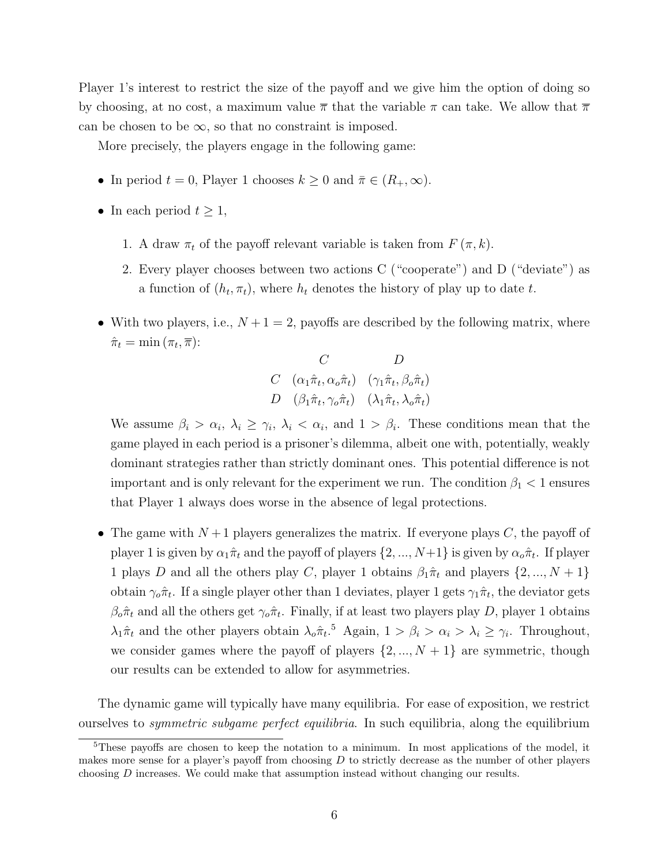Player 1's interest to restrict the size of the payoff and we give him the option of doing so by choosing, at no cost, a maximum value  $\bar{\pi}$  that the variable  $\pi$  can take. We allow that  $\bar{\pi}$ can be chosen to be  $\infty$ , so that no constraint is imposed.

More precisely, the players engage in the following game:

- In period  $t = 0$ , Player 1 chooses  $k \geq 0$  and  $\bar{\pi} \in (R_+, \infty)$ .
- In each period  $t \geq 1$ ,
	- 1. A draw  $\pi_t$  of the payoff relevant variable is taken from  $F(\pi, k)$ .
	- 2. Every player chooses between two actions C ("cooperate") and D ("deviate") as a function of  $(h_t, \pi_t)$ , where  $h_t$  denotes the history of play up to date t.
- With two players, i.e.,  $N+1=2$ , payoffs are described by the following matrix, where  $\hat{\pi}_t = \min(\pi_t, \overline{\pi})$ :

$$
\begin{array}{cc}\nC & D \\
C & (\alpha_1 \hat{\pi}_t, \alpha_o \hat{\pi}_t) & (\gamma_1 \hat{\pi}_t, \beta_o \hat{\pi}_t) \\
D & (\beta_1 \hat{\pi}_t, \gamma_o \hat{\pi}_t) & (\lambda_1 \hat{\pi}_t, \lambda_o \hat{\pi}_t)\n\end{array}
$$

We assume  $\beta_i > \alpha_i, \lambda_i \geq \gamma_i, \lambda_i < \alpha_i$ , and  $1 > \beta_i$ . These conditions mean that the game played in each period is a prisoner's dilemma, albeit one with, potentially, weakly dominant strategies rather than strictly dominant ones. This potential difference is not important and is only relevant for the experiment we run. The condition  $\beta_1$  < 1 ensures that Player 1 always does worse in the absence of legal protections.

• The game with  $N+1$  players generalizes the matrix. If everyone plays C, the payoff of player 1 is given by  $\alpha_1\hat{\pi}_t$  and the payoff of players  $\{2, ..., N+1\}$  is given by  $\alpha_o\hat{\pi}_t$ . If player 1 plays D and all the others play C, player 1 obtains  $\beta_1 \hat{\pi}_t$  and players  $\{2, ..., N + 1\}$ obtain  $\gamma_o \hat{\pi}_t$ . If a single player other than 1 deviates, player 1 gets  $\gamma_1 \hat{\pi}_t$ , the deviator gets  $\beta_o \hat{\pi}_t$  and all the others get  $\gamma_o \hat{\pi}_t$ . Finally, if at least two players play D, player 1 obtains  $\lambda_1 \hat{\pi}_t$  and the other players obtain  $\lambda_o \hat{\pi}_t$ <sup>5</sup> Again,  $1 > \beta_i > \alpha_i > \lambda_i \geq \gamma_i$ . Throughout, we consider games where the payoff of players  $\{2, ..., N + 1\}$  are symmetric, though our results can be extended to allow for asymmetries.

The dynamic game will typically have many equilibria. For ease of exposition, we restrict ourselves to symmetric subgame perfect equilibria. In such equilibria, along the equilibrium

<sup>5</sup>These payoffs are chosen to keep the notation to a minimum. In most applications of the model, it makes more sense for a player's payoff from choosing  $D$  to strictly decrease as the number of other players choosing  $D$  increases. We could make that assumption instead without changing our results.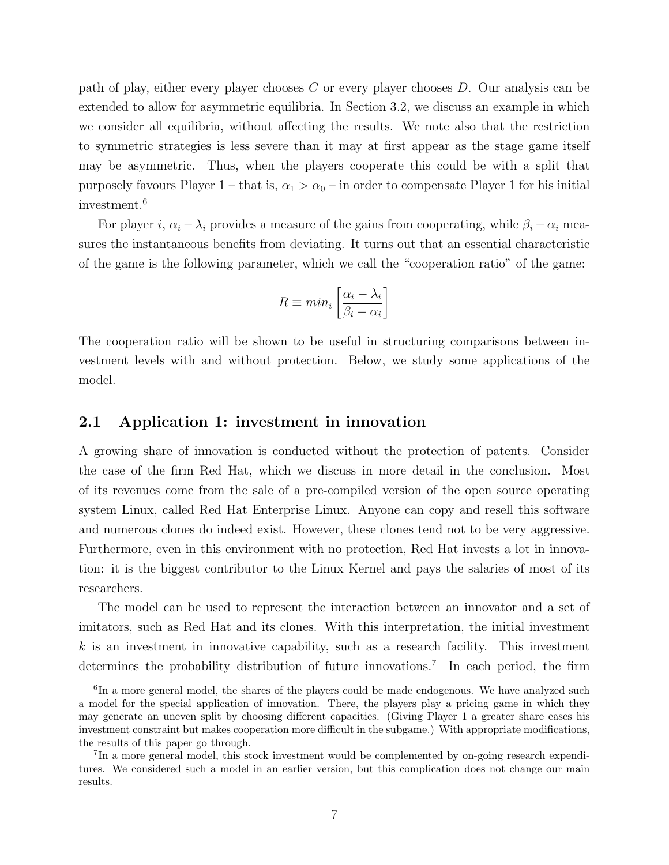path of play, either every player chooses C or every player chooses D. Our analysis can be extended to allow for asymmetric equilibria. In Section 3.2, we discuss an example in which we consider all equilibria, without affecting the results. We note also that the restriction to symmetric strategies is less severe than it may at first appear as the stage game itself may be asymmetric. Thus, when the players cooperate this could be with a split that purposely favours Player 1 – that is,  $\alpha_1 > \alpha_0$  – in order to compensate Player 1 for his initial investment.<sup>6</sup>

For player i,  $\alpha_i - \lambda_i$  provides a measure of the gains from cooperating, while  $\beta_i - \alpha_i$  measures the instantaneous benefits from deviating. It turns out that an essential characteristic of the game is the following parameter, which we call the "cooperation ratio" of the game:

$$
R \equiv min_i \left[ \frac{\alpha_i - \lambda_i}{\beta_i - \alpha_i} \right]
$$

The cooperation ratio will be shown to be useful in structuring comparisons between investment levels with and without protection. Below, we study some applications of the model.

#### 2.1 Application 1: investment in innovation

A growing share of innovation is conducted without the protection of patents. Consider the case of the firm Red Hat, which we discuss in more detail in the conclusion. Most of its revenues come from the sale of a pre-compiled version of the open source operating system Linux, called Red Hat Enterprise Linux. Anyone can copy and resell this software and numerous clones do indeed exist. However, these clones tend not to be very aggressive. Furthermore, even in this environment with no protection, Red Hat invests a lot in innovation: it is the biggest contributor to the Linux Kernel and pays the salaries of most of its researchers.

The model can be used to represent the interaction between an innovator and a set of imitators, such as Red Hat and its clones. With this interpretation, the initial investment  $k$  is an investment in innovative capability, such as a research facility. This investment determines the probability distribution of future innovations.<sup>7</sup> In each period, the firm

<sup>&</sup>lt;sup>6</sup>In a more general model, the shares of the players could be made endogenous. We have analyzed such a model for the special application of innovation. There, the players play a pricing game in which they may generate an uneven split by choosing different capacities. (Giving Player 1 a greater share eases his investment constraint but makes cooperation more difficult in the subgame.) With appropriate modifications, the results of this paper go through.

<sup>&</sup>lt;sup>7</sup>In a more general model, this stock investment would be complemented by on-going research expenditures. We considered such a model in an earlier version, but this complication does not change our main results.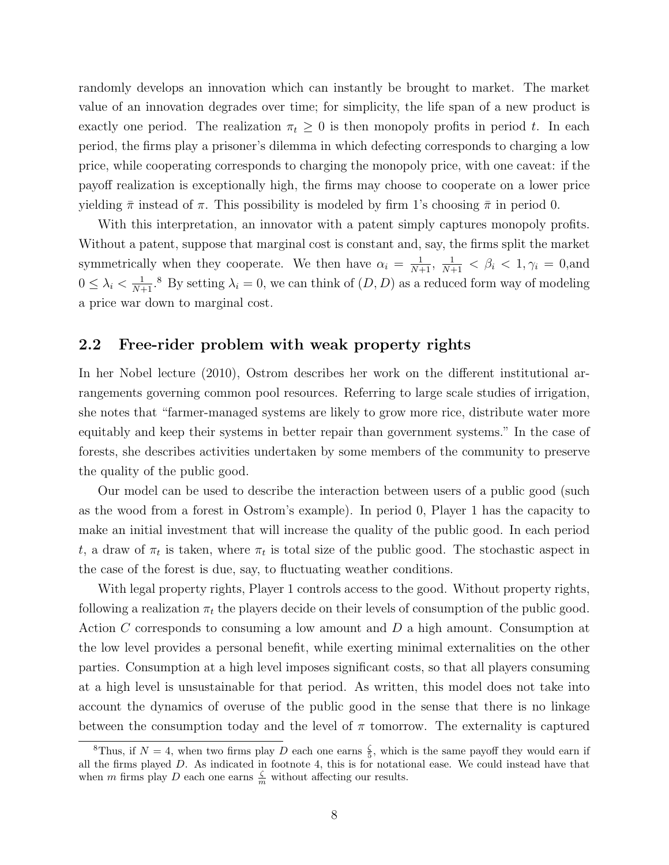randomly develops an innovation which can instantly be brought to market. The market value of an innovation degrades over time; for simplicity, the life span of a new product is exactly one period. The realization  $\pi_t \geq 0$  is then monopoly profits in period t. In each period, the firms play a prisoner's dilemma in which defecting corresponds to charging a low price, while cooperating corresponds to charging the monopoly price, with one caveat: if the payoff realization is exceptionally high, the firms may choose to cooperate on a lower price yielding  $\bar{\pi}$  instead of  $\pi$ . This possibility is modeled by firm 1's choosing  $\bar{\pi}$  in period 0.

With this interpretation, an innovator with a patent simply captures monopoly profits. Without a patent, suppose that marginal cost is constant and, say, the firms split the market symmetrically when they cooperate. We then have  $\alpha_i = \frac{1}{N+1}$ ,  $\frac{1}{N+1} < \beta_i < 1$ ,  $\gamma_i = 0$ , and  $0 \leq \lambda_i < \frac{1}{N+1}$ .<sup>8</sup> By setting  $\lambda_i = 0$ , we can think of  $(D, D)$  as a reduced form way of modeling a price war down to marginal cost.

#### 2.2 Free-rider problem with weak property rights

In her Nobel lecture (2010), Ostrom describes her work on the different institutional arrangements governing common pool resources. Referring to large scale studies of irrigation, she notes that "farmer-managed systems are likely to grow more rice, distribute water more equitably and keep their systems in better repair than government systems." In the case of forests, she describes activities undertaken by some members of the community to preserve the quality of the public good.

Our model can be used to describe the interaction between users of a public good (such as the wood from a forest in Ostrom's example). In period 0, Player 1 has the capacity to make an initial investment that will increase the quality of the public good. In each period t, a draw of  $\pi_t$  is taken, where  $\pi_t$  is total size of the public good. The stochastic aspect in the case of the forest is due, say, to fluctuating weather conditions.

With legal property rights, Player 1 controls access to the good. Without property rights, following a realization  $\pi_t$  the players decide on their levels of consumption of the public good. Action C corresponds to consuming a low amount and D a high amount. Consumption at the low level provides a personal benefit, while exerting minimal externalities on the other parties. Consumption at a high level imposes significant costs, so that all players consuming at a high level is unsustainable for that period. As written, this model does not take into account the dynamics of overuse of the public good in the sense that there is no linkage between the consumption today and the level of  $\pi$  tomorrow. The externality is captured

<sup>&</sup>lt;sup>8</sup>Thus, if  $N = 4$ , when two firms play D each one earns  $\frac{5}{5}$ , which is the same payoff they would earn if all the firms played D. As indicated in footnote 4, this is for notational ease. We could instead have that when m firms play D each one earns  $\frac{\zeta}{m}$  without affecting our results.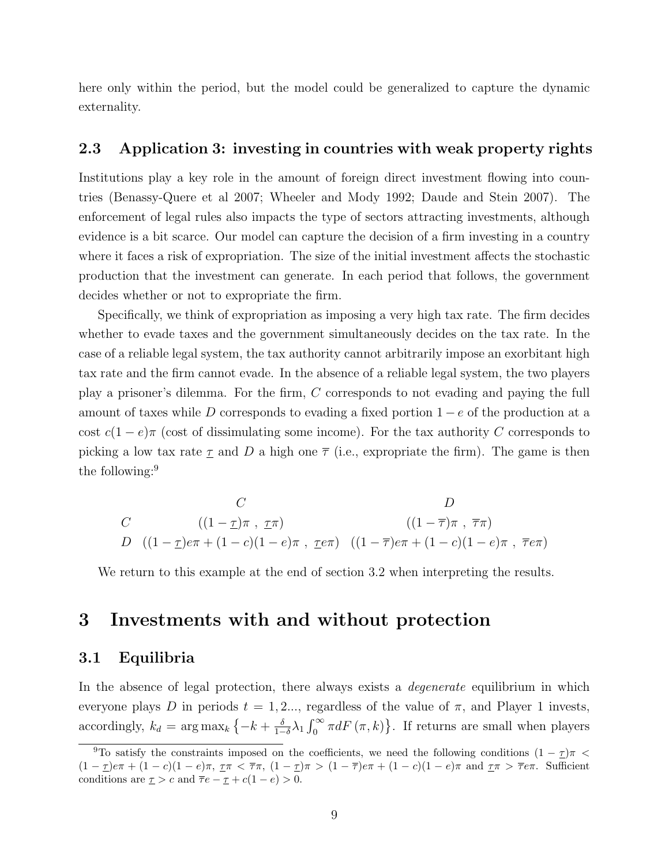here only within the period, but the model could be generalized to capture the dynamic externality.

#### 2.3 Application 3: investing in countries with weak property rights

Institutions play a key role in the amount of foreign direct investment flowing into countries (Benassy-Quere et al 2007; Wheeler and Mody 1992; Daude and Stein 2007). The enforcement of legal rules also impacts the type of sectors attracting investments, although evidence is a bit scarce. Our model can capture the decision of a firm investing in a country where it faces a risk of expropriation. The size of the initial investment affects the stochastic production that the investment can generate. In each period that follows, the government decides whether or not to expropriate the firm.

Specifically, we think of expropriation as imposing a very high tax rate. The firm decides whether to evade taxes and the government simultaneously decides on the tax rate. In the case of a reliable legal system, the tax authority cannot arbitrarily impose an exorbitant high tax rate and the firm cannot evade. In the absence of a reliable legal system, the two players play a prisoner's dilemma. For the firm, C corresponds to not evading and paying the full amount of taxes while D corresponds to evading a fixed portion  $1 - e$  of the production at a cost  $c(1-e)\pi$  (cost of dissimulating some income). For the tax authority C corresponds to picking a low tax rate  $\underline{\tau}$  and  $D$  a high one  $\overline{\tau}$  (i.e., expropriate the firm). The game is then the following:<sup>9</sup>

$$
C
$$
  
\n
$$
C
$$
  
\n
$$
C
$$
  
\n
$$
(1 - \tau)\pi, \tau\pi
$$
  
\n
$$
D
$$
  
\n
$$
(1 - \overline{\tau})\pi, \overline{\tau}\pi
$$
  
\n
$$
D
$$
  
\n
$$
((1 - \tau)e\pi + (1 - c)(1 - e)\pi, \tau e\pi)
$$
  
\n
$$
(\tau - \overline{\tau})e\pi + (1 - c)(1 - e)\pi, \overline{\tau}e\pi
$$

We return to this example at the end of section 3.2 when interpreting the results.

## 3 Investments with and without protection

#### 3.1 Equilibria

In the absence of legal protection, there always exists a *degenerate* equilibrium in which everyone plays D in periods  $t = 1, 2, \ldots$ , regardless of the value of  $\pi$ , and Player 1 invests, accordingly,  $k_d = \arg \max_k \left\{-k + \frac{\delta}{1-\delta}\right\}$  $\frac{\delta}{1-\delta}\lambda_1 \int_0^\infty \pi dF(\pi, k)$ . If returns are small when players

<sup>&</sup>lt;sup>9</sup>To satisfy the constraints imposed on the coefficients, we need the following conditions  $(1 - \tau)\pi$  $(1 - \underline{\tau})e\pi + (1 - c)(1 - e)\pi$ ,  $\underline{\tau}\pi < \overline{\tau}\pi$ ,  $(1 - \underline{\tau})\pi > (1 - \overline{\tau})e\pi + (1 - c)(1 - e)\pi$  and  $\underline{\tau}\pi > \overline{\tau}e\pi$ . Sufficient conditions are  $\underline{\tau} > c$  and  $\overline{\tau}e - \underline{\tau} + c(1 - e) > 0$ .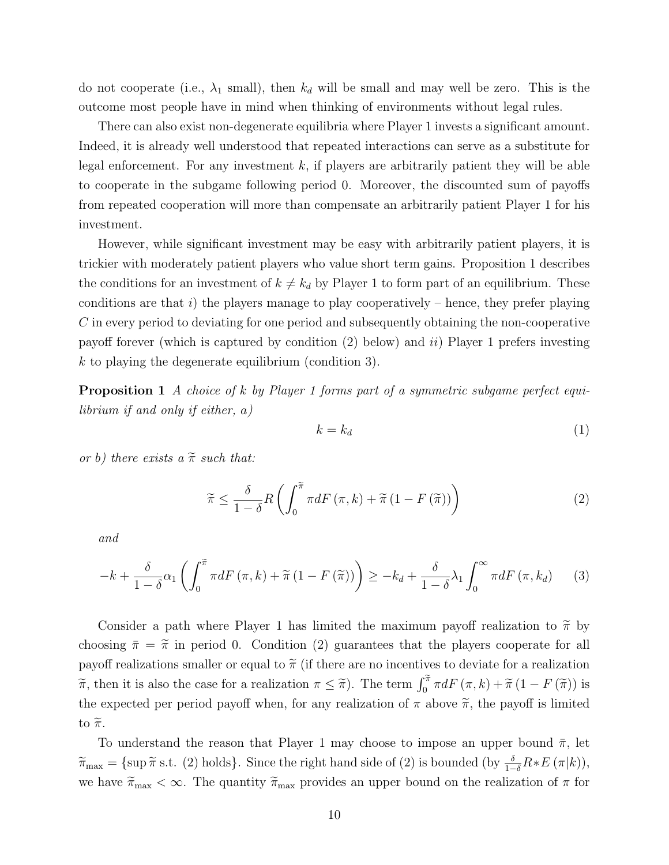do not cooperate (i.e.,  $\lambda_1$  small), then  $k_d$  will be small and may well be zero. This is the outcome most people have in mind when thinking of environments without legal rules.

There can also exist non-degenerate equilibria where Player 1 invests a significant amount. Indeed, it is already well understood that repeated interactions can serve as a substitute for legal enforcement. For any investment  $k$ , if players are arbitrarily patient they will be able to cooperate in the subgame following period 0. Moreover, the discounted sum of payoffs from repeated cooperation will more than compensate an arbitrarily patient Player 1 for his investment.

However, while significant investment may be easy with arbitrarily patient players, it is trickier with moderately patient players who value short term gains. Proposition 1 describes the conditions for an investment of  $k \neq k_d$  by Player 1 to form part of an equilibrium. These conditions are that i) the players manage to play cooperatively – hence, they prefer playing C in every period to deviating for one period and subsequently obtaining the non-cooperative payoff forever (which is captured by condition  $(2)$  below) and ii) Player 1 prefers investing k to playing the degenerate equilibrium (condition 3).

Proposition 1 A choice of k by Player 1 forms part of a symmetric subgame perfect equilibrium if and only if either, a)

$$
k = k_d \tag{1}
$$

or b) there exists a  $\tilde{\pi}$  such that:

$$
\widetilde{\pi} \le \frac{\delta}{1-\delta} R\left(\int_0^{\widetilde{\pi}} \pi dF\left(\pi, k\right) + \widetilde{\pi}\left(1 - F\left(\widetilde{\pi}\right)\right)\right) \tag{2}
$$

and

$$
-k + \frac{\delta}{1-\delta}\alpha_1 \left( \int_0^{\widetilde{\pi}} \pi dF\left(\pi, k\right) + \widetilde{\pi}\left(1 - F\left(\widetilde{\pi}\right)\right) \right) \geq -k_d + \frac{\delta}{1-\delta}\lambda_1 \int_0^{\infty} \pi dF\left(\pi, k_d\right) \tag{3}
$$

Consider a path where Player 1 has limited the maximum payoff realization to  $\tilde{\pi}$  by choosing  $\bar{\pi} = \tilde{\pi}$  in period 0. Condition (2) guarantees that the players cooperate for all payoff realizations smaller or equal to  $\tilde{\pi}$  (if there are no incentives to deviate for a realization  $\widetilde{\pi}$ , then it is also the case for a realization  $\pi \leq \widetilde{\pi}$ ). The term  $\int_0^{\widetilde{\pi}} \pi dF(\pi, k) + \widetilde{\pi}(1 - F(\widetilde{\pi}))$  is the expected per period payoff when, for any realization of  $\pi$  above  $\tilde{\pi}$ , the payoff is limited to  $\widetilde{\pi}$ .

To understand the reason that Player 1 may choose to impose an upper bound  $\bar{\pi}$ , let  $\widetilde{\pi}_{\text{max}} = \{\sup \widetilde{\pi} \text{ s.t. } (2) \text{ holds}\}.$  Since the right hand side of  $(2)$  is bounded  $(\text{by } \frac{\delta}{1-\delta}R * E(\pi|k)),$ we have  $\tilde{\pi}_{\text{max}} < \infty$ . The quantity  $\tilde{\pi}_{\text{max}}$  provides an upper bound on the realization of  $\pi$  for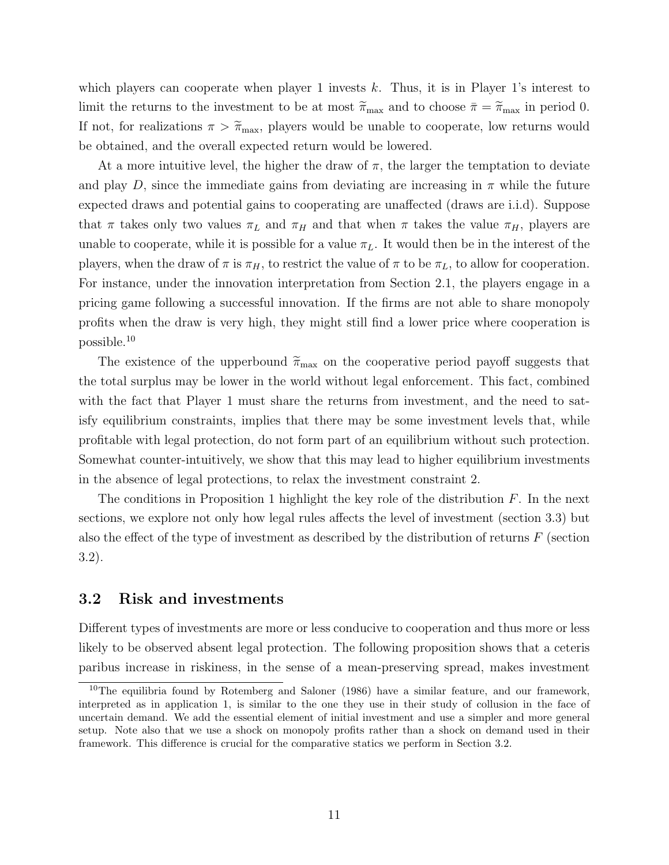which players can cooperate when player 1 invests  $k$ . Thus, it is in Player 1's interest to limit the returns to the investment to be at most  $\tilde{\pi}_{\text{max}}$  and to choose  $\bar{\pi} = \tilde{\pi}_{\text{max}}$  in period 0. If not, for realizations  $\pi > \tilde{\pi}_{\text{max}}$ , players would be unable to cooperate, low returns would be obtained, and the overall expected return would be lowered.

At a more intuitive level, the higher the draw of  $\pi$ , the larger the temptation to deviate and play D, since the immediate gains from deviating are increasing in  $\pi$  while the future expected draws and potential gains to cooperating are unaffected (draws are i.i.d). Suppose that  $\pi$  takes only two values  $\pi_L$  and  $\pi_H$  and that when  $\pi$  takes the value  $\pi_H$ , players are unable to cooperate, while it is possible for a value  $\pi_L$ . It would then be in the interest of the players, when the draw of  $\pi$  is  $\pi_H$ , to restrict the value of  $\pi$  to be  $\pi_L$ , to allow for cooperation. For instance, under the innovation interpretation from Section 2.1, the players engage in a pricing game following a successful innovation. If the firms are not able to share monopoly profits when the draw is very high, they might still find a lower price where cooperation is possible.<sup>10</sup>

The existence of the upperbound  $\widetilde{\pi}_{\text{max}}$  on the cooperative period payoff suggests that the total surplus may be lower in the world without legal enforcement. This fact, combined with the fact that Player 1 must share the returns from investment, and the need to satisfy equilibrium constraints, implies that there may be some investment levels that, while profitable with legal protection, do not form part of an equilibrium without such protection. Somewhat counter-intuitively, we show that this may lead to higher equilibrium investments in the absence of legal protections, to relax the investment constraint 2.

The conditions in Proposition 1 highlight the key role of the distribution  $F$ . In the next sections, we explore not only how legal rules affects the level of investment (section 3.3) but also the effect of the type of investment as described by the distribution of returns  $F$  (section 3.2).

#### 3.2 Risk and investments

Different types of investments are more or less conducive to cooperation and thus more or less likely to be observed absent legal protection. The following proposition shows that a ceteris paribus increase in riskiness, in the sense of a mean-preserving spread, makes investment

 $10$ The equilibria found by Rotemberg and Saloner (1986) have a similar feature, and our framework, interpreted as in application 1, is similar to the one they use in their study of collusion in the face of uncertain demand. We add the essential element of initial investment and use a simpler and more general setup. Note also that we use a shock on monopoly profits rather than a shock on demand used in their framework. This difference is crucial for the comparative statics we perform in Section 3.2.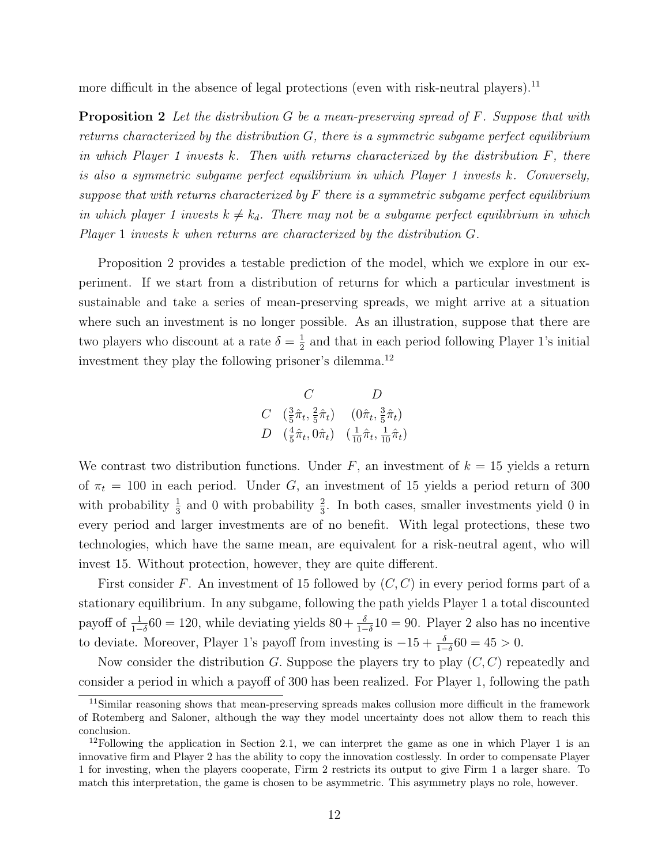more difficult in the absence of legal protections (even with risk-neutral players).<sup>11</sup>

**Proposition 2** Let the distribution G be a mean-preserving spread of F. Suppose that with returns characterized by the distribution  $G$ , there is a symmetric subgame perfect equilibrium in which Player 1 invests k. Then with returns characterized by the distribution  $F$ , there is also a symmetric subgame perfect equilibrium in which Player 1 invests k. Conversely, suppose that with returns characterized by  $F$  there is a symmetric subgame perfect equilibrium in which player 1 invests  $k \neq k_d$ . There may not be a subgame perfect equilibrium in which Player 1 invests k when returns are characterized by the distribution G.

Proposition 2 provides a testable prediction of the model, which we explore in our experiment. If we start from a distribution of returns for which a particular investment is sustainable and take a series of mean-preserving spreads, we might arrive at a situation where such an investment is no longer possible. As an illustration, suppose that there are two players who discount at a rate  $\delta = \frac{1}{2}$  $\frac{1}{2}$  and that in each period following Player 1's initial investment they play the following prisoner's dilemma.<sup>12</sup>

$$
\begin{array}{cc}\nC & D \\
C & \left(\frac{3}{5}\hat{\pi}_t, \frac{2}{5}\hat{\pi}_t\right) & \left(0\hat{\pi}_t, \frac{3}{5}\hat{\pi}_t\right) \\
D & \left(\frac{4}{5}\hat{\pi}_t, 0\hat{\pi}_t\right) & \left(\frac{1}{10}\hat{\pi}_t, \frac{1}{10}\hat{\pi}_t\right)\n\end{array}
$$

We contrast two distribution functions. Under  $F$ , an investment of  $k = 15$  yields a return of  $\pi_t = 100$  in each period. Under G, an investment of 15 yields a period return of 300 with probability  $\frac{1}{3}$  and 0 with probability  $\frac{2}{3}$ . In both cases, smaller investments yield 0 in every period and larger investments are of no benefit. With legal protections, these two technologies, which have the same mean, are equivalent for a risk-neutral agent, who will invest 15. Without protection, however, they are quite different.

First consider F. An investment of 15 followed by  $(C, C)$  in every period forms part of a stationary equilibrium. In any subgame, following the path yields Player 1 a total discounted payoff of  $\frac{1}{1-\delta}$ 60 = 120, while deviating yields 80 +  $\frac{\delta}{1-\delta}$ 10 = 90. Player 2 also has no incentive to deviate. Moreover, Player 1's payoff from investing is  $-15 + \frac{\delta}{1-\delta}60 = 45 > 0$ .

Now consider the distribution G. Suppose the players try to play  $(C, C)$  repeatedly and consider a period in which a payoff of 300 has been realized. For Player 1, following the path

<sup>11</sup>Similar reasoning shows that mean-preserving spreads makes collusion more difficult in the framework of Rotemberg and Saloner, although the way they model uncertainty does not allow them to reach this conclusion.

<sup>&</sup>lt;sup>12</sup>Following the application in Section 2.1, we can interpret the game as one in which Player 1 is an innovative firm and Player 2 has the ability to copy the innovation costlessly. In order to compensate Player 1 for investing, when the players cooperate, Firm 2 restricts its output to give Firm 1 a larger share. To match this interpretation, the game is chosen to be asymmetric. This asymmetry plays no role, however.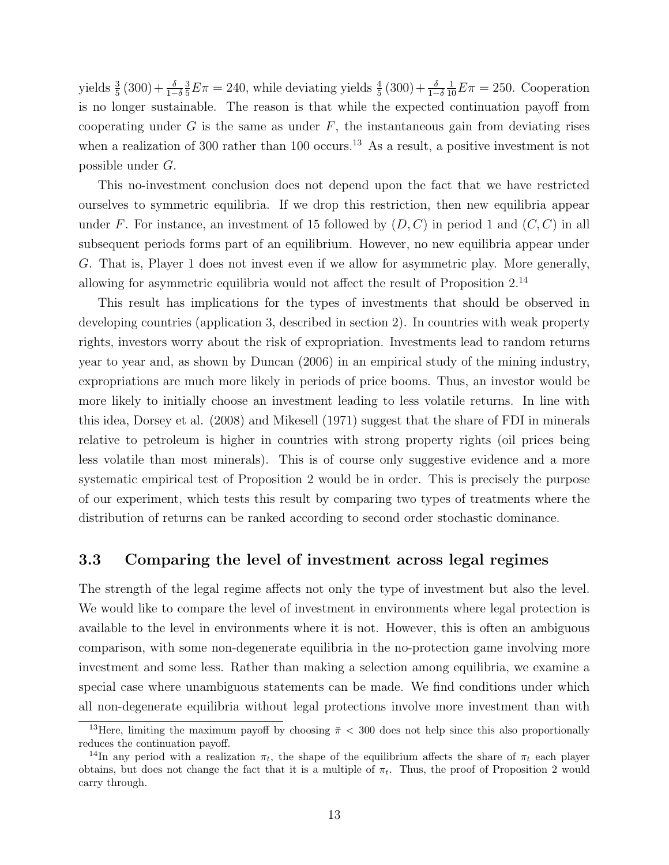yields  $\frac{3}{5}(300) + \frac{\delta}{1-\delta}$  $\frac{3}{5}E\pi = 240$ , while deviating yields  $\frac{4}{5}(300) + \frac{\delta}{1-\delta}$  $\frac{1}{10}E\pi = 250$ . Cooperation is no longer sustainable. The reason is that while the expected continuation payoff from cooperating under  $G$  is the same as under  $F$ , the instantaneous gain from deviating rises when a realization of 300 rather than 100 occurs.<sup>13</sup> As a result, a positive investment is not possible under G.

This no-investment conclusion does not depend upon the fact that we have restricted ourselves to symmetric equilibria. If we drop this restriction, then new equilibria appear under F. For instance, an investment of 15 followed by  $(D, C)$  in period 1 and  $(C, C)$  in all subsequent periods forms part of an equilibrium. However, no new equilibria appear under G. That is, Player 1 does not invest even if we allow for asymmetric play. More generally, allowing for asymmetric equilibria would not affect the result of Proposition 2.<sup>14</sup>

This result has implications for the types of investments that should be observed in developing countries (application 3, described in section 2). In countries with weak property rights, investors worry about the risk of expropriation. Investments lead to random returns year to year and, as shown by Duncan (2006) in an empirical study of the mining industry, expropriations are much more likely in periods of price booms. Thus, an investor would be more likely to initially choose an investment leading to less volatile returns. In line with this idea, Dorsey et al. (2008) and Mikesell (1971) suggest that the share of FDI in minerals relative to petroleum is higher in countries with strong property rights (oil prices being less volatile than most minerals). This is of course only suggestive evidence and a more systematic empirical test of Proposition 2 would be in order. This is precisely the purpose of our experiment, which tests this result by comparing two types of treatments where the distribution of returns can be ranked according to second order stochastic dominance.

#### 3.3 Comparing the level of investment across legal regimes

The strength of the legal regime affects not only the type of investment but also the level. We would like to compare the level of investment in environments where legal protection is available to the level in environments where it is not. However, this is often an ambiguous comparison, with some non-degenerate equilibria in the no-protection game involving more investment and some less. Rather than making a selection among equilibria, we examine a special case where unambiguous statements can be made. We find conditions under which all non-degenerate equilibria without legal protections involve more investment than with

<sup>&</sup>lt;sup>13</sup>Here, limiting the maximum payoff by choosing  $\pi < 300$  does not help since this also proportionally reduces the continuation payoff.

<sup>&</sup>lt;sup>14</sup>In any period with a realization  $\pi_t$ , the shape of the equilibrium affects the share of  $\pi_t$  each player obtains, but does not change the fact that it is a multiple of  $\pi_t$ . Thus, the proof of Proposition 2 would carry through.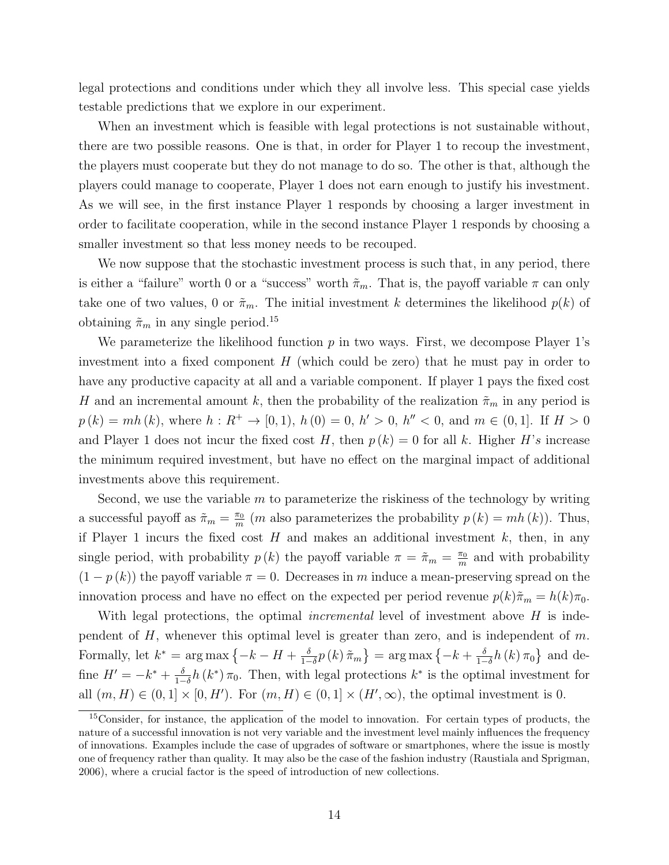legal protections and conditions under which they all involve less. This special case yields testable predictions that we explore in our experiment.

When an investment which is feasible with legal protections is not sustainable without, there are two possible reasons. One is that, in order for Player 1 to recoup the investment, the players must cooperate but they do not manage to do so. The other is that, although the players could manage to cooperate, Player 1 does not earn enough to justify his investment. As we will see, in the first instance Player 1 responds by choosing a larger investment in order to facilitate cooperation, while in the second instance Player 1 responds by choosing a smaller investment so that less money needs to be recouped.

We now suppose that the stochastic investment process is such that, in any period, there is either a "failure" worth 0 or a "success" worth  $\tilde{\pi}_m$ . That is, the payoff variable  $\pi$  can only take one of two values, 0 or  $\tilde{\pi}_m$ . The initial investment k determines the likelihood  $p(k)$  of obtaining  $\tilde{\pi}_m$  in any single period.<sup>15</sup>

We parameterize the likelihood function  $p$  in two ways. First, we decompose Player 1's investment into a fixed component  $H$  (which could be zero) that he must pay in order to have any productive capacity at all and a variable component. If player 1 pays the fixed cost H and an incremental amount k, then the probability of the realization  $\tilde{\pi}_m$  in any period is  $p(k) = mh(k)$ , where  $h: R^+ \to [0, 1)$ ,  $h(0) = 0$ ,  $h' > 0$ ,  $h'' < 0$ , and  $m \in (0, 1]$ . If  $H > 0$ and Player 1 does not incur the fixed cost H, then  $p(k) = 0$  for all k. Higher H's increase the minimum required investment, but have no effect on the marginal impact of additional investments above this requirement.

Second, we use the variable  $m$  to parameterize the riskiness of the technology by writing a successful payoff as  $\tilde{\pi}_m = \frac{\pi_0}{m}$  $\frac{\pi_0}{m}$  (*m* also parameterizes the probability  $p(k) = mh(k)$ ). Thus, if Player 1 incurs the fixed cost  $H$  and makes an additional investment  $k$ , then, in any single period, with probability  $p(k)$  the payoff variable  $\pi = \tilde{\pi}_m = \frac{\pi_0}{m}$  $\frac{\pi_0}{m}$  and with probability  $(1 - p(k))$  the payoff variable  $\pi = 0$ . Decreases in m induce a mean-preserving spread on the innovation process and have no effect on the expected per period revenue  $p(k)\tilde{\pi}_m = h(k)\pi_0$ .

With legal protections, the optimal *incremental* level of investment above  $H$  is independent of  $H$ , whenever this optimal level is greater than zero, and is independent of  $m$ . Formally, let  $k^* = \arg \max \left\{-k - H + \frac{\delta}{1 - \epsilon}\right\}$  $\frac{\delta}{1-\delta}p\left(k\right)\tilde{\pi}_{m}\big\} = \argmax\big\{-k+\frac{\delta}{1-\delta}\big\}$  $\frac{\delta}{1-\delta}h(k)\,\pi_0\}$  and define  $H' = -k^* + \frac{\delta}{1-\delta}$  $\frac{\delta}{1-\delta}h(k^*)\pi_0$ . Then, with legal protections  $k^*$  is the optimal investment for all  $(m, H) \in (0, 1] \times [0, H')$ . For  $(m, H) \in (0, 1] \times (H', \infty)$ , the optimal investment is 0.

<sup>15</sup>Consider, for instance, the application of the model to innovation. For certain types of products, the nature of a successful innovation is not very variable and the investment level mainly influences the frequency of innovations. Examples include the case of upgrades of software or smartphones, where the issue is mostly one of frequency rather than quality. It may also be the case of the fashion industry (Raustiala and Sprigman, 2006), where a crucial factor is the speed of introduction of new collections.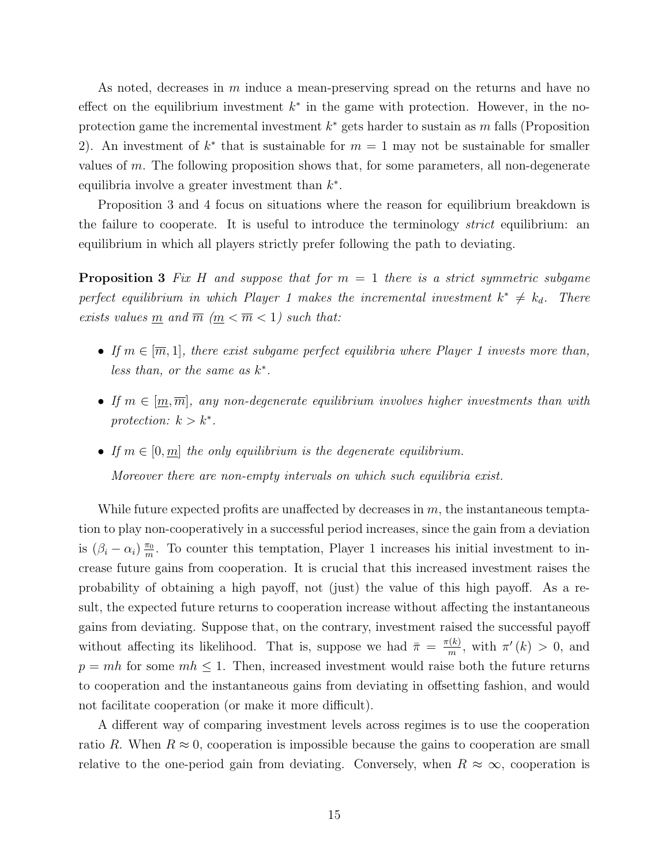As noted, decreases in m induce a mean-preserving spread on the returns and have no effect on the equilibrium investment  $k^*$  in the game with protection. However, in the noprotection game the incremental investment  $k^*$  gets harder to sustain as m falls (Proposition 2). An investment of  $k^*$  that is sustainable for  $m = 1$  may not be sustainable for smaller values of m. The following proposition shows that, for some parameters, all non-degenerate equilibria involve a greater investment than  $k^*$ .

Proposition 3 and 4 focus on situations where the reason for equilibrium breakdown is the failure to cooperate. It is useful to introduce the terminology *strict* equilibrium: an equilibrium in which all players strictly prefer following the path to deviating.

**Proposition 3** Fix H and suppose that for  $m = 1$  there is a strict symmetric subgame perfect equilibrium in which Player 1 makes the incremental investment  $k^* \neq k_d$ . There exists values  $\underline{m}$  and  $\overline{m}$   $(\underline{m} < \overline{m} < 1)$  such that:

- If  $m \in [\overline{m}, 1]$ , there exist subgame perfect equilibria where Player 1 invests more than, less than, or the same as  $k^*$ .
- If  $m \in [m, \overline{m}]$ , any non-degenerate equilibrium involves higher investments than with protection:  $k > k^*$ .
- If  $m \in [0, m]$  the only equilibrium is the degenerate equilibrium. Moreover there are non-empty intervals on which such equilibria exist.

While future expected profits are unaffected by decreases in  $m$ , the instantaneous temptation to play non-cooperatively in a successful period increases, since the gain from a deviation is  $(\beta_i - \alpha_i) \frac{\pi_0}{m}$  $\frac{\pi_0}{m}$ . To counter this temptation, Player 1 increases his initial investment to increase future gains from cooperation. It is crucial that this increased investment raises the probability of obtaining a high payoff, not (just) the value of this high payoff. As a result, the expected future returns to cooperation increase without affecting the instantaneous gains from deviating. Suppose that, on the contrary, investment raised the successful payoff without affecting its likelihood. That is, suppose we had  $\bar{\pi} = \frac{\pi(k)}{m}$  $\frac{f(k)}{m}$ , with  $\pi'(k) > 0$ , and  $p = mh$  for some  $mh \leq 1$ . Then, increased investment would raise both the future returns to cooperation and the instantaneous gains from deviating in offsetting fashion, and would not facilitate cooperation (or make it more difficult).

A different way of comparing investment levels across regimes is to use the cooperation ratio R. When  $R \approx 0$ , cooperation is impossible because the gains to cooperation are small relative to the one-period gain from deviating. Conversely, when  $R \approx \infty$ , cooperation is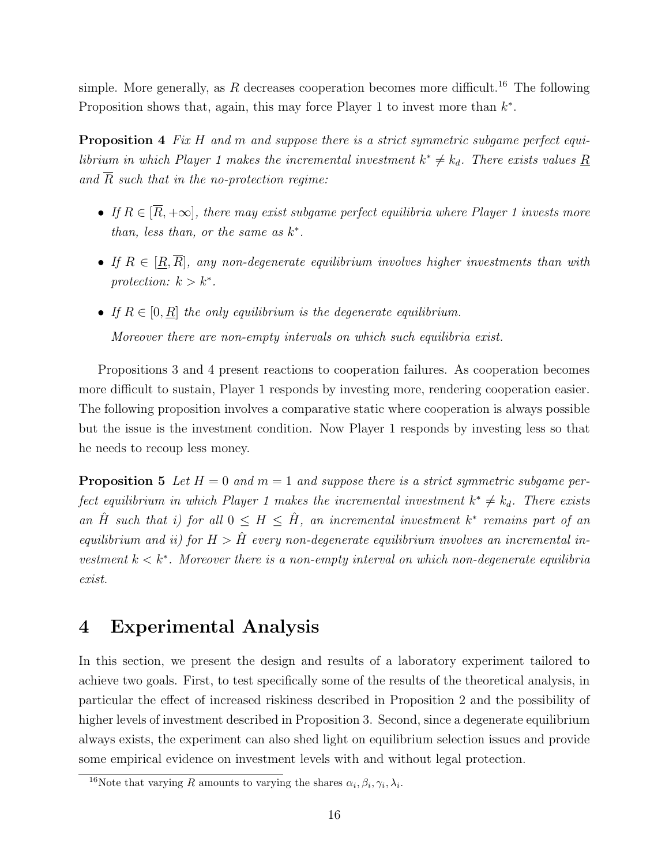simple. More generally, as R decreases cooperation becomes more difficult.<sup>16</sup> The following Proposition shows that, again, this may force Player 1 to invest more than  $k^*$ .

**Proposition 4** Fix H and m and suppose there is a strict symmetric subgame perfect equilibrium in which Player 1 makes the incremental investment  $k^* \neq k_d$ . There exists values R and  $\overline{R}$  such that in the no-protection regime:

- If  $R \in [\overline{R}, +\infty]$ , there may exist subgame perfect equilibria where Player 1 invests more than, less than, or the same as  $k^*$ .
- If  $R \in [\underline{R}, \overline{R}]$ , any non-degenerate equilibrium involves higher investments than with protection:  $k > k^*$ .
- If  $R \in [0, R]$  the only equilibrium is the degenerate equilibrium. Moreover there are non-empty intervals on which such equilibria exist.

Propositions 3 and 4 present reactions to cooperation failures. As cooperation becomes more difficult to sustain, Player 1 responds by investing more, rendering cooperation easier. The following proposition involves a comparative static where cooperation is always possible but the issue is the investment condition. Now Player 1 responds by investing less so that he needs to recoup less money.

**Proposition 5** Let  $H = 0$  and  $m = 1$  and suppose there is a strict symmetric subgame perfect equilibrium in which Player 1 makes the incremental investment  $k^* \neq k_d$ . There exists an  $\hat{H}$  such that i) for all  $0 \leq H \leq \hat{H}$ , an incremental investment  $k^*$  remains part of an equilibrium and ii) for  $H > \hat{H}$  every non-degenerate equilibrium involves an incremental investment  $k < k^*$ . Moreover there is a non-empty interval on which non-degenerate equilibria exist.

## 4 Experimental Analysis

In this section, we present the design and results of a laboratory experiment tailored to achieve two goals. First, to test specifically some of the results of the theoretical analysis, in particular the effect of increased riskiness described in Proposition 2 and the possibility of higher levels of investment described in Proposition 3. Second, since a degenerate equilibrium always exists, the experiment can also shed light on equilibrium selection issues and provide some empirical evidence on investment levels with and without legal protection.

<sup>&</sup>lt;sup>16</sup>Note that varying R amounts to varying the shares  $\alpha_i, \beta_i, \gamma_i, \lambda_i$ .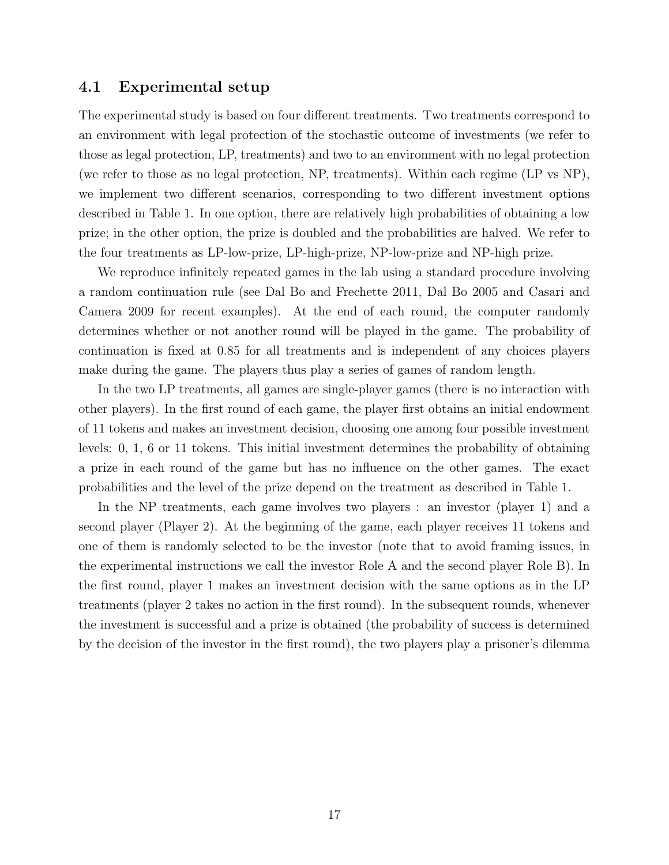#### 4.1 Experimental setup

The experimental study is based on four different treatments. Two treatments correspond to an environment with legal protection of the stochastic outcome of investments (we refer to those as legal protection, LP, treatments) and two to an environment with no legal protection (we refer to those as no legal protection, NP, treatments). Within each regime (LP vs NP), we implement two different scenarios, corresponding to two different investment options described in Table 1. In one option, there are relatively high probabilities of obtaining a low prize; in the other option, the prize is doubled and the probabilities are halved. We refer to the four treatments as LP-low-prize, LP-high-prize, NP-low-prize and NP-high prize.

We reproduce infinitely repeated games in the lab using a standard procedure involving a random continuation rule (see Dal Bo and Frechette 2011, Dal Bo 2005 and Casari and Camera 2009 for recent examples). At the end of each round, the computer randomly determines whether or not another round will be played in the game. The probability of continuation is fixed at 0.85 for all treatments and is independent of any choices players make during the game. The players thus play a series of games of random length.

In the two LP treatments, all games are single-player games (there is no interaction with other players). In the first round of each game, the player first obtains an initial endowment of 11 tokens and makes an investment decision, choosing one among four possible investment levels: 0, 1, 6 or 11 tokens. This initial investment determines the probability of obtaining a prize in each round of the game but has no influence on the other games. The exact probabilities and the level of the prize depend on the treatment as described in Table 1.

In the NP treatments, each game involves two players : an investor (player 1) and a second player (Player 2). At the beginning of the game, each player receives 11 tokens and one of them is randomly selected to be the investor (note that to avoid framing issues, in the experimental instructions we call the investor Role A and the second player Role B). In the first round, player 1 makes an investment decision with the same options as in the LP treatments (player 2 takes no action in the first round). In the subsequent rounds, whenever the investment is successful and a prize is obtained (the probability of success is determined by the decision of the investor in the first round), the two players play a prisoner's dilemma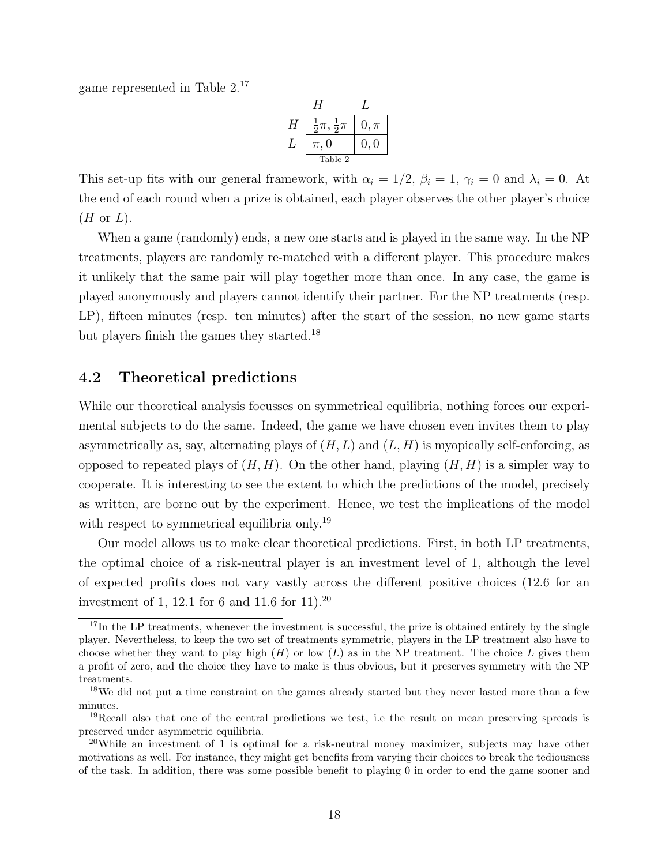game represented in Table 2.<sup>17</sup>

|               | 4                              |          |
|---------------|--------------------------------|----------|
| H             | $rac{1}{2}\pi, \frac{1}{2}\pi$ | $0, \pi$ |
| $\mathcal{L}$ | $\pi,0$                        | 0.0      |
|               | Table 2                        |          |

This set-up fits with our general framework, with  $\alpha_i = 1/2$ ,  $\beta_i = 1$ ,  $\gamma_i = 0$  and  $\lambda_i = 0$ . At the end of each round when a prize is obtained, each player observes the other player's choice  $(H \text{ or } L).$ 

When a game (randomly) ends, a new one starts and is played in the same way. In the NP treatments, players are randomly re-matched with a different player. This procedure makes it unlikely that the same pair will play together more than once. In any case, the game is played anonymously and players cannot identify their partner. For the NP treatments (resp. LP), fifteen minutes (resp. ten minutes) after the start of the session, no new game starts but players finish the games they started.<sup>18</sup>

#### 4.2 Theoretical predictions

While our theoretical analysis focusses on symmetrical equilibria, nothing forces our experimental subjects to do the same. Indeed, the game we have chosen even invites them to play asymmetrically as, say, alternating plays of  $(H, L)$  and  $(L, H)$  is myopically self-enforcing, as opposed to repeated plays of  $(H, H)$ . On the other hand, playing  $(H, H)$  is a simpler way to cooperate. It is interesting to see the extent to which the predictions of the model, precisely as written, are borne out by the experiment. Hence, we test the implications of the model with respect to symmetrical equilibria only.<sup>19</sup>

Our model allows us to make clear theoretical predictions. First, in both LP treatments, the optimal choice of a risk-neutral player is an investment level of 1, although the level of expected profits does not vary vastly across the different positive choices (12.6 for an investment of 1, 12.1 for 6 and 11.6 for 11).<sup>20</sup>

<sup>&</sup>lt;sup>17</sup>In the LP treatments, whenever the investment is successful, the prize is obtained entirely by the single player. Nevertheless, to keep the two set of treatments symmetric, players in the LP treatment also have to choose whether they want to play high  $(H)$  or low  $(L)$  as in the NP treatment. The choice L gives them a profit of zero, and the choice they have to make is thus obvious, but it preserves symmetry with the NP treatments.

<sup>&</sup>lt;sup>18</sup>We did not put a time constraint on the games already started but they never lasted more than a few minutes.

<sup>19</sup>Recall also that one of the central predictions we test, i.e the result on mean preserving spreads is preserved under asymmetric equilibria.

<sup>&</sup>lt;sup>20</sup>While an investment of 1 is optimal for a risk-neutral money maximizer, subjects may have other motivations as well. For instance, they might get benefits from varying their choices to break the tediousness of the task. In addition, there was some possible benefit to playing 0 in order to end the game sooner and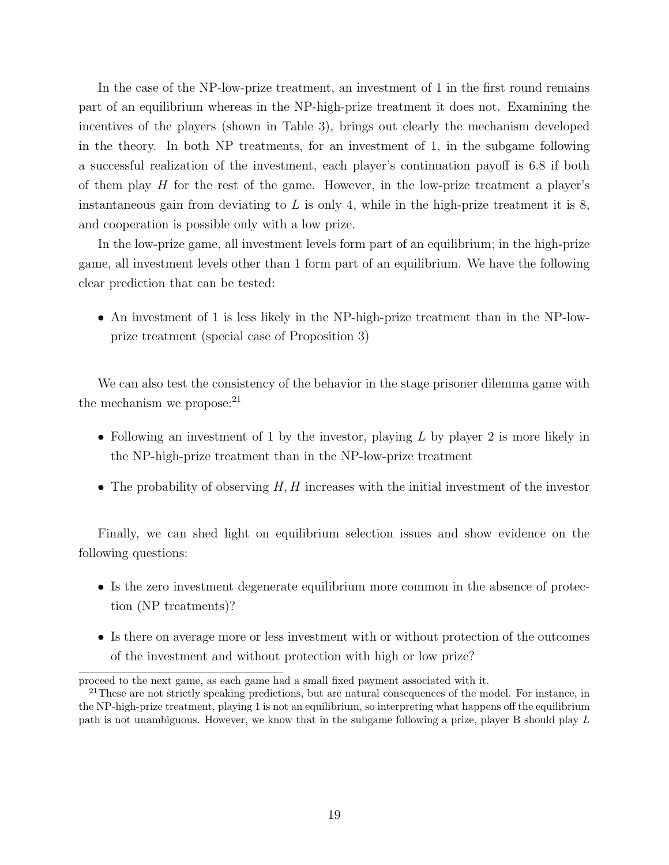In the case of the NP-low-prize treatment, an investment of 1 in the first round remains part of an equilibrium whereas in the NP-high-prize treatment it does not. Examining the incentives of the players (shown in Table 3), brings out clearly the mechanism developed in the theory. In both NP treatments, for an investment of 1, in the subgame following a successful realization of the investment, each player's continuation payoff is 6.8 if both of them play  $H$  for the rest of the game. However, in the low-prize treatment a player's instantaneous gain from deviating to  $L$  is only 4, while in the high-prize treatment it is 8, and cooperation is possible only with a low prize.

In the low-prize game, all investment levels form part of an equilibrium; in the high-prize game, all investment levels other than 1 form part of an equilibrium. We have the following clear prediction that can be tested:

• An investment of 1 is less likely in the NP-high-prize treatment than in the NP-lowprize treatment (special case of Proposition 3)

We can also test the consistency of the behavior in the stage prisoner dilemma game with the mechanism we propose: $21$ 

- Following an investment of 1 by the investor, playing  $L$  by player 2 is more likely in the NP-high-prize treatment than in the NP-low-prize treatment
- The probability of observing  $H, H$  increases with the initial investment of the investor

Finally, we can shed light on equilibrium selection issues and show evidence on the following questions:

- Is the zero investment degenerate equilibrium more common in the absence of protection (NP treatments)?
- Is there on average more or less investment with or without protection of the outcomes of the investment and without protection with high or low prize?

proceed to the next game, as each game had a small fixed payment associated with it.

<sup>&</sup>lt;sup>21</sup>These are not strictly speaking predictions, but are natural consequences of the model. For instance, in the NP-high-prize treatment, playing 1 is not an equilibrium, so interpreting what happens off the equilibrium path is not unambiguous. However, we know that in the subgame following a prize, player B should play L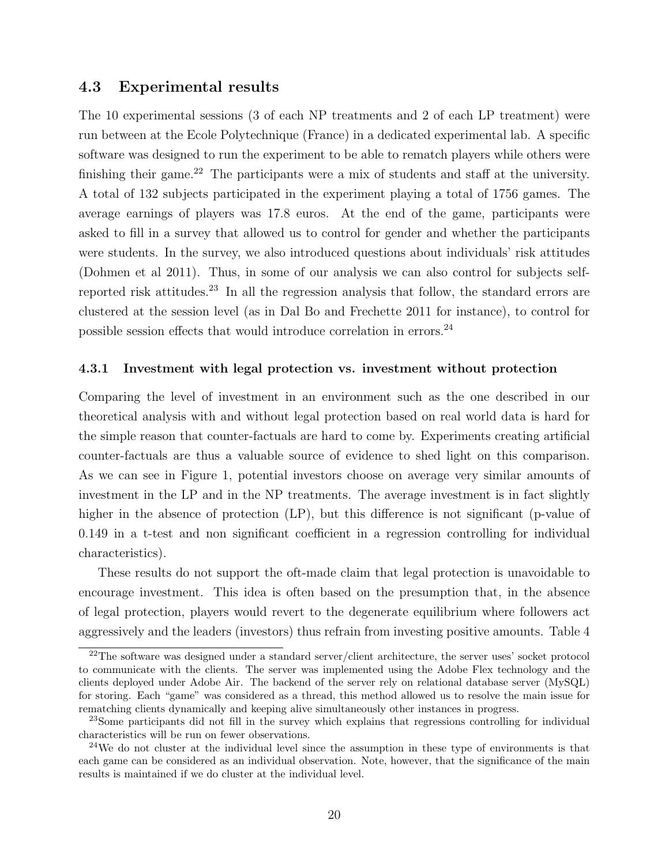#### 4.3 Experimental results

The 10 experimental sessions (3 of each NP treatments and 2 of each LP treatment) were run between at the Ecole Polytechnique (France) in a dedicated experimental lab. A specific software was designed to run the experiment to be able to rematch players while others were finishing their game.<sup>22</sup> The participants were a mix of students and staff at the university. A total of 132 subjects participated in the experiment playing a total of 1756 games. The average earnings of players was 17.8 euros. At the end of the game, participants were asked to fill in a survey that allowed us to control for gender and whether the participants were students. In the survey, we also introduced questions about individuals' risk attitudes (Dohmen et al 2011). Thus, in some of our analysis we can also control for subjects selfreported risk attitudes.<sup>23</sup> In all the regression analysis that follow, the standard errors are clustered at the session level (as in Dal Bo and Frechette 2011 for instance), to control for possible session effects that would introduce correlation in errors.<sup>24</sup>

#### 4.3.1 Investment with legal protection vs. investment without protection

Comparing the level of investment in an environment such as the one described in our theoretical analysis with and without legal protection based on real world data is hard for the simple reason that counter-factuals are hard to come by. Experiments creating artificial counter-factuals are thus a valuable source of evidence to shed light on this comparison. As we can see in Figure 1, potential investors choose on average very similar amounts of investment in the LP and in the NP treatments. The average investment is in fact slightly higher in the absence of protection (LP), but this difference is not significant (p-value of 0.149 in a t-test and non significant coefficient in a regression controlling for individual characteristics).

These results do not support the oft-made claim that legal protection is unavoidable to encourage investment. This idea is often based on the presumption that, in the absence of legal protection, players would revert to the degenerate equilibrium where followers act aggressively and the leaders (investors) thus refrain from investing positive amounts. Table 4

 $22$ The software was designed under a standard server/client architecture, the server uses' socket protocol to communicate with the clients. The server was implemented using the Adobe Flex technology and the clients deployed under Adobe Air. The backend of the server rely on relational database server (MySQL) for storing. Each "game" was considered as a thread, this method allowed us to resolve the main issue for rematching clients dynamically and keeping alive simultaneously other instances in progress.

<sup>&</sup>lt;sup>23</sup>Some participants did not fill in the survey which explains that regressions controlling for individual characteristics will be run on fewer observations.

 $24$ We do not cluster at the individual level since the assumption in these type of environments is that each game can be considered as an individual observation. Note, however, that the significance of the main results is maintained if we do cluster at the individual level.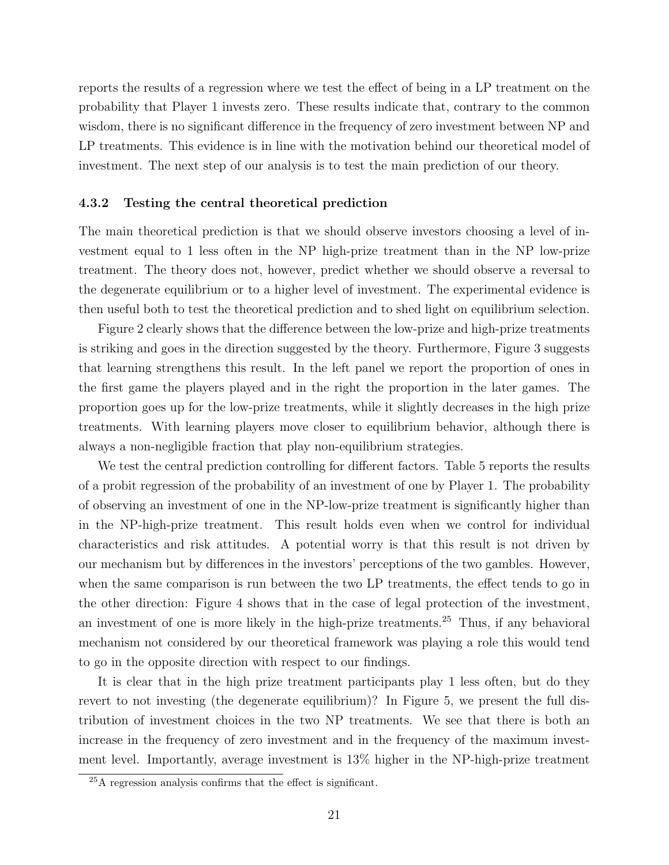reports the results of a regression where we test the effect of being in a LP treatment on the probability that Player 1 invests zero. These results indicate that, contrary to the common wisdom, there is no significant difference in the frequency of zero investment between NP and LP treatments. This evidence is in line with the motivation behind our theoretical model of investment. The next step of our analysis is to test the main prediction of our theory.

#### 4.3.2 Testing the central theoretical prediction

The main theoretical prediction is that we should observe investors choosing a level of investment equal to 1 less often in the NP high-prize treatment than in the NP low-prize treatment. The theory does not, however, predict whether we should observe a reversal to the degenerate equilibrium or to a higher level of investment. The experimental evidence is then useful both to test the theoretical prediction and to shed light on equilibrium selection.

Figure 2 clearly shows that the difference between the low-prize and high-prize treatments is striking and goes in the direction suggested by the theory. Furthermore, Figure 3 suggests that learning strengthens this result. In the left panel we report the proportion of ones in the first game the players played and in the right the proportion in the later games. The proportion goes up for the low-prize treatments, while it slightly decreases in the high prize treatments. With learning players move closer to equilibrium behavior, although there is always a non-negligible fraction that play non-equilibrium strategies.

We test the central prediction controlling for different factors. Table 5 reports the results of a probit regression of the probability of an investment of one by Player 1. The probability of observing an investment of one in the NP-low-prize treatment is significantly higher than in the NP-high-prize treatment. This result holds even when we control for individual characteristics and risk attitudes. A potential worry is that this result is not driven by our mechanism but by differences in the investors' perceptions of the two gambles. However, when the same comparison is run between the two LP treatments, the effect tends to go in the other direction: Figure 4 shows that in the case of legal protection of the investment, an investment of one is more likely in the high-prize treatments.<sup>25</sup> Thus, if any behavioral mechanism not considered by our theoretical framework was playing a role this would tend to go in the opposite direction with respect to our findings.

It is clear that in the high prize treatment participants play 1 less often, but do they revert to not investing (the degenerate equilibrium)? In Figure 5, we present the full distribution of investment choices in the two NP treatments. We see that there is both an increase in the frequency of zero investment and in the frequency of the maximum investment level. Importantly, average investment is 13% higher in the NP-high-prize treatment

<sup>25</sup>A regression analysis confirms that the effect is significant.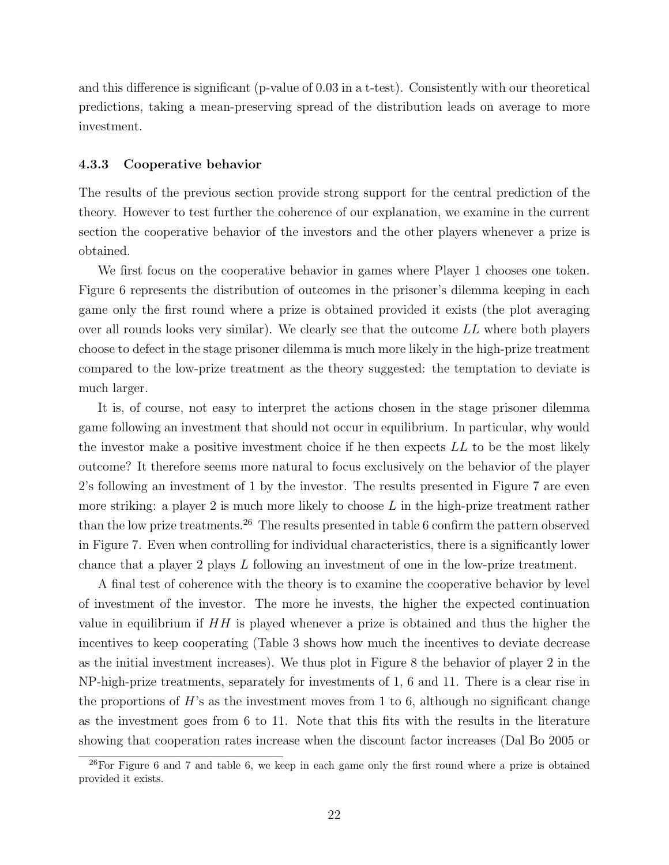and this difference is significant (p-value of 0.03 in a t-test). Consistently with our theoretical predictions, taking a mean-preserving spread of the distribution leads on average to more investment.

#### 4.3.3 Cooperative behavior

The results of the previous section provide strong support for the central prediction of the theory. However to test further the coherence of our explanation, we examine in the current section the cooperative behavior of the investors and the other players whenever a prize is obtained.

We first focus on the cooperative behavior in games where Player 1 chooses one token. Figure 6 represents the distribution of outcomes in the prisoner's dilemma keeping in each game only the first round where a prize is obtained provided it exists (the plot averaging over all rounds looks very similar). We clearly see that the outcome LL where both players choose to defect in the stage prisoner dilemma is much more likely in the high-prize treatment compared to the low-prize treatment as the theory suggested: the temptation to deviate is much larger.

It is, of course, not easy to interpret the actions chosen in the stage prisoner dilemma game following an investment that should not occur in equilibrium. In particular, why would the investor make a positive investment choice if he then expects LL to be the most likely outcome? It therefore seems more natural to focus exclusively on the behavior of the player 2's following an investment of 1 by the investor. The results presented in Figure 7 are even more striking: a player 2 is much more likely to choose  $L$  in the high-prize treatment rather than the low prize treatments.<sup>26</sup> The results presented in table 6 confirm the pattern observed in Figure 7. Even when controlling for individual characteristics, there is a significantly lower chance that a player 2 plays L following an investment of one in the low-prize treatment.

A final test of coherence with the theory is to examine the cooperative behavior by level of investment of the investor. The more he invests, the higher the expected continuation value in equilibrium if  $HH$  is played whenever a prize is obtained and thus the higher the incentives to keep cooperating (Table 3 shows how much the incentives to deviate decrease as the initial investment increases). We thus plot in Figure 8 the behavior of player 2 in the NP-high-prize treatments, separately for investments of 1, 6 and 11. There is a clear rise in the proportions of  $H$ 's as the investment moves from 1 to 6, although no significant change as the investment goes from 6 to 11. Note that this fits with the results in the literature showing that cooperation rates increase when the discount factor increases (Dal Bo 2005 or

 $^{26}$ For Figure 6 and 7 and table 6, we keep in each game only the first round where a prize is obtained provided it exists.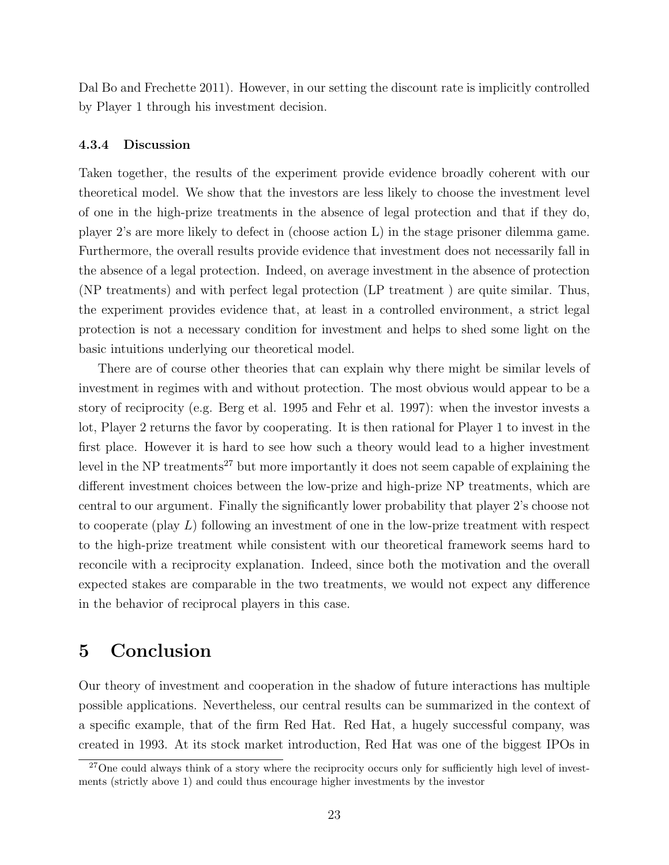Dal Bo and Frechette 2011). However, in our setting the discount rate is implicitly controlled by Player 1 through his investment decision.

#### 4.3.4 Discussion

Taken together, the results of the experiment provide evidence broadly coherent with our theoretical model. We show that the investors are less likely to choose the investment level of one in the high-prize treatments in the absence of legal protection and that if they do, player 2's are more likely to defect in (choose action L) in the stage prisoner dilemma game. Furthermore, the overall results provide evidence that investment does not necessarily fall in the absence of a legal protection. Indeed, on average investment in the absence of protection (NP treatments) and with perfect legal protection (LP treatment ) are quite similar. Thus, the experiment provides evidence that, at least in a controlled environment, a strict legal protection is not a necessary condition for investment and helps to shed some light on the basic intuitions underlying our theoretical model.

There are of course other theories that can explain why there might be similar levels of investment in regimes with and without protection. The most obvious would appear to be a story of reciprocity (e.g. Berg et al. 1995 and Fehr et al. 1997): when the investor invests a lot, Player 2 returns the favor by cooperating. It is then rational for Player 1 to invest in the first place. However it is hard to see how such a theory would lead to a higher investment level in the NP treatments<sup>27</sup> but more importantly it does not seem capable of explaining the different investment choices between the low-prize and high-prize NP treatments, which are central to our argument. Finally the significantly lower probability that player 2's choose not to cooperate (play L) following an investment of one in the low-prize treatment with respect to the high-prize treatment while consistent with our theoretical framework seems hard to reconcile with a reciprocity explanation. Indeed, since both the motivation and the overall expected stakes are comparable in the two treatments, we would not expect any difference in the behavior of reciprocal players in this case.

## 5 Conclusion

Our theory of investment and cooperation in the shadow of future interactions has multiple possible applications. Nevertheless, our central results can be summarized in the context of a specific example, that of the firm Red Hat. Red Hat, a hugely successful company, was created in 1993. At its stock market introduction, Red Hat was one of the biggest IPOs in

 $^{27}$ One could always think of a story where the reciprocity occurs only for sufficiently high level of investments (strictly above 1) and could thus encourage higher investments by the investor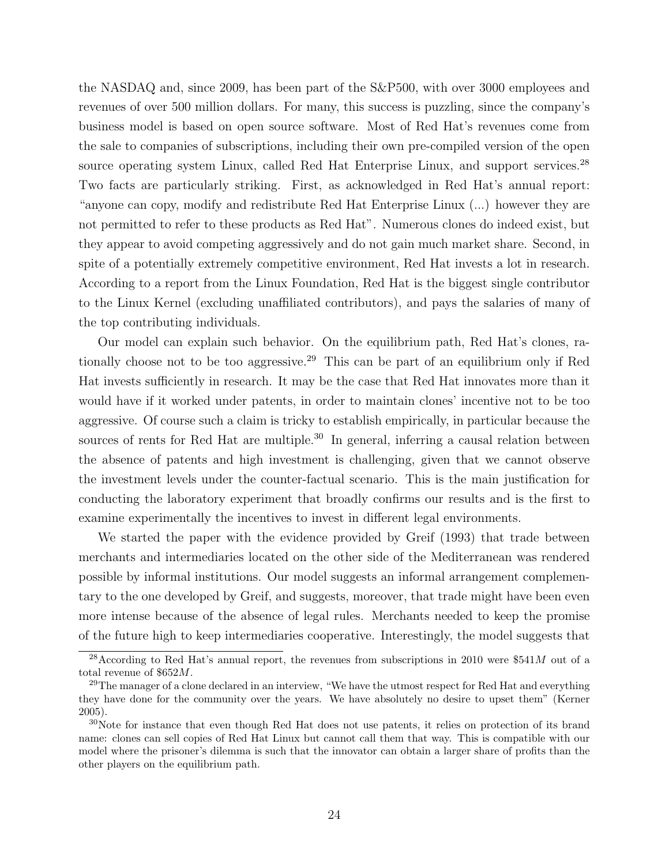the NASDAQ and, since 2009, has been part of the S&P500, with over 3000 employees and revenues of over 500 million dollars. For many, this success is puzzling, since the company's business model is based on open source software. Most of Red Hat's revenues come from the sale to companies of subscriptions, including their own pre-compiled version of the open source operating system Linux, called Red Hat Enterprise Linux, and support services.<sup>28</sup> Two facts are particularly striking. First, as acknowledged in Red Hat's annual report: "anyone can copy, modify and redistribute Red Hat Enterprise Linux (...) however they are not permitted to refer to these products as Red Hat". Numerous clones do indeed exist, but they appear to avoid competing aggressively and do not gain much market share. Second, in spite of a potentially extremely competitive environment, Red Hat invests a lot in research. According to a report from the Linux Foundation, Red Hat is the biggest single contributor to the Linux Kernel (excluding unaffiliated contributors), and pays the salaries of many of the top contributing individuals.

Our model can explain such behavior. On the equilibrium path, Red Hat's clones, rationally choose not to be too aggressive.<sup>29</sup> This can be part of an equilibrium only if Red Hat invests sufficiently in research. It may be the case that Red Hat innovates more than it would have if it worked under patents, in order to maintain clones' incentive not to be too aggressive. Of course such a claim is tricky to establish empirically, in particular because the sources of rents for Red Hat are multiple.<sup>30</sup> In general, inferring a causal relation between the absence of patents and high investment is challenging, given that we cannot observe the investment levels under the counter-factual scenario. This is the main justification for conducting the laboratory experiment that broadly confirms our results and is the first to examine experimentally the incentives to invest in different legal environments.

We started the paper with the evidence provided by Greif (1993) that trade between merchants and intermediaries located on the other side of the Mediterranean was rendered possible by informal institutions. Our model suggests an informal arrangement complementary to the one developed by Greif, and suggests, moreover, that trade might have been even more intense because of the absence of legal rules. Merchants needed to keep the promise of the future high to keep intermediaries cooperative. Interestingly, the model suggests that

<sup>&</sup>lt;sup>28</sup>According to Red Hat's annual report, the revenues from subscriptions in 2010 were \$541M out of a total revenue of  $$652M$ .

<sup>&</sup>lt;sup>29</sup>The manager of a clone declared in an interview, "We have the utmost respect for Red Hat and everything they have done for the community over the years. We have absolutely no desire to upset them" (Kerner 2005).

<sup>30</sup>Note for instance that even though Red Hat does not use patents, it relies on protection of its brand name: clones can sell copies of Red Hat Linux but cannot call them that way. This is compatible with our model where the prisoner's dilemma is such that the innovator can obtain a larger share of profits than the other players on the equilibrium path.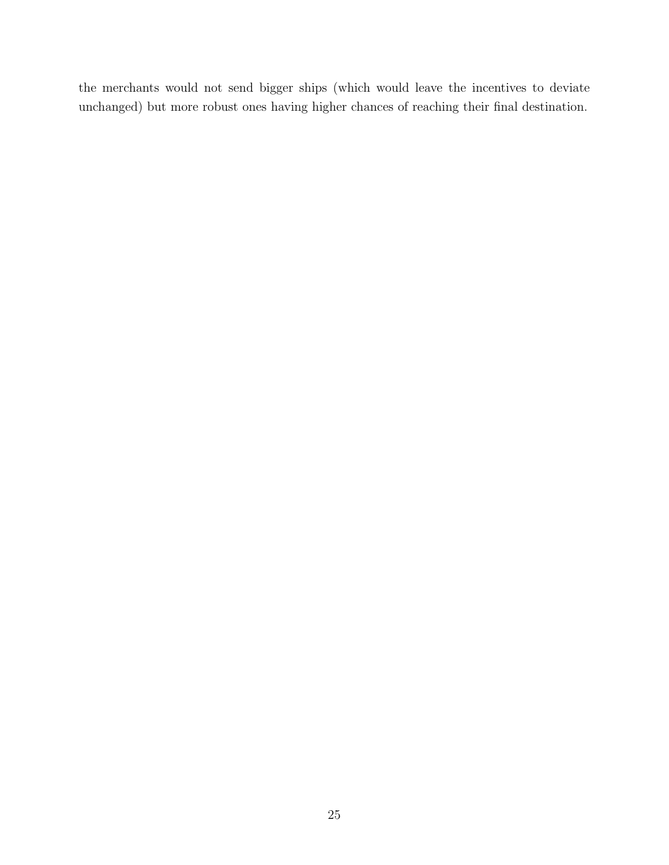the merchants would not send bigger ships (which would leave the incentives to deviate unchanged) but more robust ones having higher chances of reaching their final destination.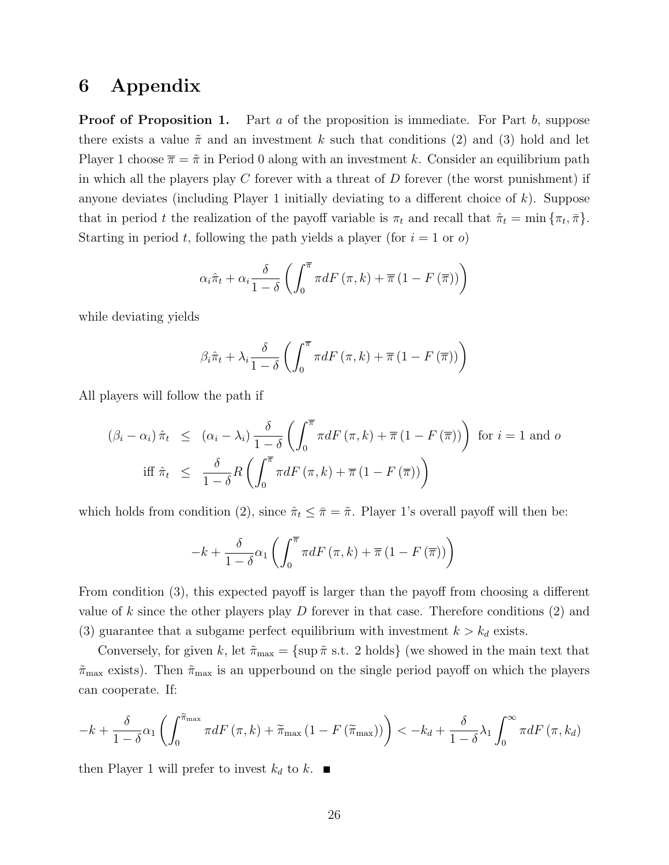## 6 Appendix

**Proof of Proposition 1.** Part  $a$  of the proposition is immediate. For Part  $b$ , suppose there exists a value  $\tilde{\pi}$  and an investment k such that conditions (2) and (3) hold and let Player 1 choose  $\bar{\pi} = \tilde{\pi}$  in Period 0 along with an investment k. Consider an equilibrium path in which all the players play  $C$  forever with a threat of  $D$  forever (the worst punishment) if anyone deviates (including Player 1 initially deviating to a different choice of  $k$ ). Suppose that in period t the realization of the payoff variable is  $\pi_t$  and recall that  $\hat{\pi}_t = \min \{ \pi_t, \bar{\pi} \}.$ Starting in period t, following the path yields a player (for  $i = 1$  or  $o$ )

$$
\alpha_{i}\hat{\pi}_{t} + \alpha_{i} \frac{\delta}{1-\delta} \left( \int_{0}^{\overline{\pi}} \pi dF\left(\pi, k\right) + \overline{\pi} \left(1 - F\left(\overline{\pi}\right)\right) \right)
$$

while deviating yields

$$
\beta_{i}\hat{\pi}_{t} + \lambda_{i} \frac{\delta}{1-\delta} \left( \int_{0}^{\overline{\pi}} \pi dF\left(\pi, k\right) + \overline{\pi} \left(1 - F\left(\overline{\pi}\right)\right) \right)
$$

All players will follow the path if

$$
(\beta_i - \alpha_i) \hat{\pi}_t \leq (\alpha_i - \lambda_i) \frac{\delta}{1 - \delta} \left( \int_0^{\overline{\pi}} \pi dF(\pi, k) + \overline{\pi} (1 - F(\overline{\pi})) \right) \text{ for } i = 1 \text{ and } o
$$
  
iff  $\hat{\pi}_t \leq \frac{\delta}{1 - \delta} R \left( \int_0^{\overline{\pi}} \pi dF(\pi, k) + \overline{\pi} (1 - F(\overline{\pi})) \right)$ 

which holds from condition (2), since  $\hat{\pi}_t \leq \bar{\pi} = \tilde{\pi}$ . Player 1's overall payoff will then be:

$$
-k+\frac{\delta}{1-\delta}\alpha_{1}\left(\int_{0}^{\overline{\pi}}\pi dF\left(\pi,k\right)+\overline{\pi}\left(1-F\left(\overline{\pi}\right)\right)\right)
$$

From condition (3), this expected payoff is larger than the payoff from choosing a different value of k since the other players play  $D$  forever in that case. Therefore conditions  $(2)$  and (3) guarantee that a subgame perfect equilibrium with investment  $k > k_d$  exists.

Conversely, for given k, let  $\tilde{\pi}_{\text{max}} = {\text{sup}} \tilde{\pi} \text{ s.t. 2 holds}$  (we showed in the main text that  $\tilde{\pi}_{\text{max}}$  exists). Then  $\tilde{\pi}_{\text{max}}$  is an upperbound on the single period payoff on which the players can cooperate. If:

$$
-k + \frac{\delta}{1-\delta}\alpha_1 \left( \int_0^{\widetilde{\pi}_{\text{max}}} \pi dF\left(\pi, k\right) + \widetilde{\pi}_{\text{max}}\left(1 - F\left(\widetilde{\pi}_{\text{max}}\right)\right) \right) < -k_d + \frac{\delta}{1-\delta}\lambda_1 \int_0^\infty \pi dF\left(\pi, k_d\right)
$$

then Player 1 will prefer to invest  $k_d$  to k.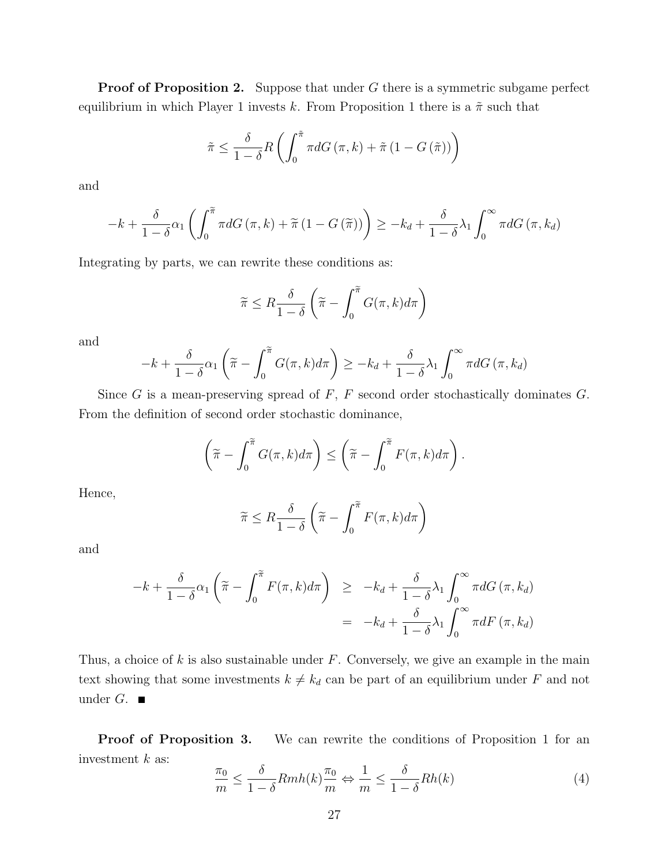**Proof of Proposition 2.** Suppose that under G there is a symmetric subgame perfect equilibrium in which Player 1 invests k. From Proposition 1 there is a  $\tilde{\pi}$  such that

$$
\tilde{\pi} \leq \frac{\delta}{1-\delta} R\left(\int_0^{\tilde{\pi}} \pi dG\left(\pi, k\right) + \tilde{\pi}\left(1 - G\left(\tilde{\pi}\right)\right)\right)
$$

and

$$
-k + \frac{\delta}{1-\delta}\alpha_1 \left( \int_0^{\widetilde{\pi}} \pi dG\left(\pi, k\right) + \widetilde{\pi} \left(1 - G\left(\widetilde{\pi}\right)\right) \right) \geq -k_d + \frac{\delta}{1-\delta}\lambda_1 \int_0^{\infty} \pi dG\left(\pi, k_d\right)
$$

Integrating by parts, we can rewrite these conditions as:

$$
\widetilde{\pi} \leq R \frac{\delta}{1-\delta} \left( \widetilde{\pi} - \int_0^{\widetilde{\pi}} G(\pi, k) d\pi \right)
$$

and

$$
-k + \frac{\delta}{1-\delta}\alpha_1\left(\widetilde{\pi} - \int_0^{\widetilde{\pi}} G(\pi, k) d\pi\right) \geq -k_d + \frac{\delta}{1-\delta}\lambda_1 \int_0^{\infty} \pi dG(\pi, k_d)
$$

Since G is a mean-preserving spread of  $F$ ,  $F$  second order stochastically dominates  $G$ . From the definition of second order stochastic dominance,

$$
\left(\widetilde{\pi} - \int_0^{\widetilde{\pi}} G(\pi, k) d\pi\right) \leq \left(\widetilde{\pi} - \int_0^{\widetilde{\pi}} F(\pi, k) d\pi\right).
$$

Hence,

$$
\widetilde{\pi} \le R \frac{\delta}{1-\delta} \left( \widetilde{\pi} - \int_0^{\widetilde{\pi}} F(\pi, k) d\pi \right)
$$

and

$$
-k + \frac{\delta}{1-\delta} \alpha_1 \left( \tilde{\pi} - \int_0^{\tilde{\pi}} F(\pi, k) d\pi \right) \geq -k_d + \frac{\delta}{1-\delta} \lambda_1 \int_0^{\infty} \pi dG(\pi, k_d)
$$

$$
= -k_d + \frac{\delta}{1-\delta} \lambda_1 \int_0^{\infty} \pi dF(\pi, k_d)
$$

Thus, a choice of  $k$  is also sustainable under  $F$ . Conversely, we give an example in the main text showing that some investments  $k \neq k_d$  can be part of an equilibrium under F and not under  $G$ .

Proof of Proposition 3. We can rewrite the conditions of Proposition 1 for an investment  $k$  as:

$$
\frac{\pi_0}{m} \le \frac{\delta}{1-\delta} Rmh(k) \frac{\pi_0}{m} \Leftrightarrow \frac{1}{m} \le \frac{\delta}{1-\delta} Rh(k)
$$
\n(4)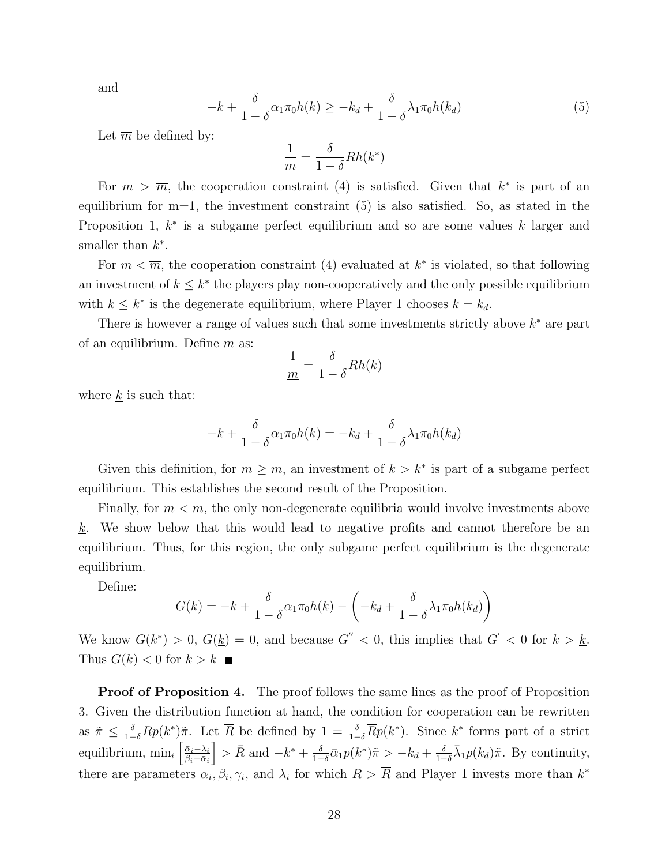and

$$
-k + \frac{\delta}{1-\delta} \alpha_1 \pi_0 h(k) \geq -k_d + \frac{\delta}{1-\delta} \lambda_1 \pi_0 h(k_d)
$$
\n<sup>(5)</sup>

Let  $\overline{m}$  be defined by:

$$
\frac{1}{\overline{m}}=\frac{\delta}{1-\delta}Rh(k^*)
$$

For  $m > \overline{m}$ , the cooperation constraint (4) is satisfied. Given that  $k^*$  is part of an equilibrium for  $m=1$ , the investment constraint  $(5)$  is also satisfied. So, as stated in the Proposition 1,  $k^*$  is a subgame perfect equilibrium and so are some values k larger and smaller than  $k^*$ .

For  $m < \overline{m}$ , the cooperation constraint (4) evaluated at  $k^*$  is violated, so that following an investment of  $k \leq k^*$  the players play non-cooperatively and the only possible equilibrium with  $k \leq k^*$  is the degenerate equilibrium, where Player 1 chooses  $k = k_d$ .

There is however a range of values such that some investments strictly above  $k^*$  are part of an equilibrium. Define  $m$  as:

$$
\frac{1}{\underline{m}} = \frac{\delta}{1-\delta} Rh(\underline{k})
$$

where  $\underline{k}$  is such that:

$$
-\underline{k} + \frac{\delta}{1-\delta}\alpha_1\pi_0 h(\underline{k}) = -k_d + \frac{\delta}{1-\delta}\lambda_1\pi_0 h(k_d)
$$

Given this definition, for  $m \geq m$ , an investment of  $k > k^*$  is part of a subgame perfect equilibrium. This establishes the second result of the Proposition.

Finally, for  $m < m$ , the only non-degenerate equilibria would involve investments above  $k$ . We show below that this would lead to negative profits and cannot therefore be an equilibrium. Thus, for this region, the only subgame perfect equilibrium is the degenerate equilibrium.

Define:

$$
G(k) = -k + \frac{\delta}{1-\delta} \alpha_1 \pi_0 h(k) - \left(-k_d + \frac{\delta}{1-\delta} \lambda_1 \pi_0 h(k_d)\right)
$$

We know  $G(k^*) > 0$ ,  $G(\underline{k}) = 0$ , and because  $G'' < 0$ , this implies that  $G' < 0$  for  $k > \underline{k}$ . Thus  $G(k) < 0$  for  $k > k$ 

**Proof of Proposition 4.** The proof follows the same lines as the proof of Proposition 3. Given the distribution function at hand, the condition for cooperation can be rewritten as  $\tilde{\pi} \leq \frac{\delta}{1-\delta}Rp(k^*)\tilde{\pi}$ . Let  $\overline{R}$  be defined by  $1 = \frac{\delta}{1-\delta}\overline{R}p(k^*)$ . Since  $k^*$  forms part of a strict equilibrium,  $\min_i \left[ \frac{\bar{\alpha}_i - \bar{\lambda}_i}{\bar{\beta}_i - \bar{\alpha}_i} \right]$  $\bigg\} > \bar{R}$  and  $-k^* + \frac{\delta}{1-\delta}$  $\frac{\delta}{1-\delta}\bar{\alpha}_1p(k^*)\tilde{\pi}>-k_d+\frac{\delta}{1-\delta}$  $\frac{\delta}{1-\delta}\bar{\lambda}_1 p(k_d)\tilde{\pi}$ . By continuity, there are parameters  $\alpha_i, \beta_i, \gamma_i$ , and  $\lambda_i$  for which  $R > \overline{R}$  and Player 1 invests more than  $k^*$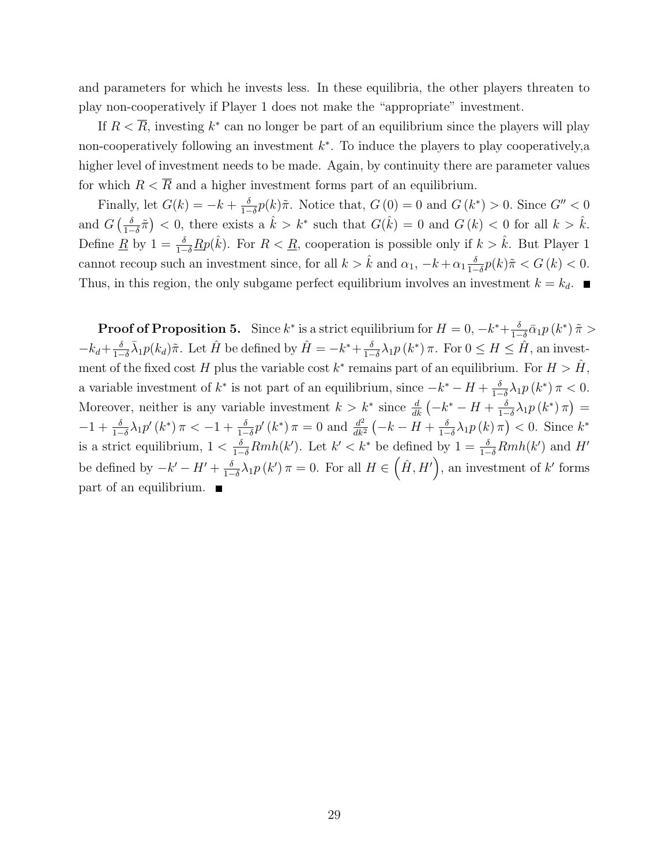and parameters for which he invests less. In these equilibria, the other players threaten to play non-cooperatively if Player 1 does not make the "appropriate" investment.

If  $R < \overline{R}$ , investing  $k^*$  can no longer be part of an equilibrium since the players will play non-cooperatively following an investment  $k^*$ . To induce the players to play cooperatively, a higher level of investment needs to be made. Again, by continuity there are parameter values for which  $R < \overline{R}$  and a higher investment forms part of an equilibrium.

Finally, let  $G(k) = -k + \frac{\delta}{1-k}$  $\frac{\delta}{1-\delta}p(k)\tilde{\pi}$ . Notice that,  $G(0) = 0$  and  $G(k^*) > 0$ . Since  $G'' < 0$ and  $G\left(\frac{\delta}{1-\delta}\right)$  $\frac{\delta}{1-\delta}\tilde{\pi}$  < 0, there exists a  $\hat{k} > k^*$  such that  $G(\hat{k}) = 0$  and  $G(k) < 0$  for all  $k > \hat{k}$ . Define <u>R</u> by  $1 = \frac{\delta}{1-\delta}$  Rp( $\hat{k}$ ). For  $R < \underline{R}$ , cooperation is possible only if  $k > \hat{k}$ . But Player 1 cannot recoup such an investment since, for all  $k > \hat{k}$  and  $\alpha_1, -k + \alpha_1 \frac{\delta}{1-\delta}$  $\frac{\delta}{1-\delta}p(k)\tilde{\pi} < G(k) < 0.$ Thus, in this region, the only subgame perfect equilibrium involves an investment  $k = k_d$ .

**Proof of Proposition 5.** Since  $k^*$  is a strict equilibrium for  $H = 0, -k^* + \frac{\delta}{1-\delta}$  $\frac{\delta}{1-\delta}\bar{\alpha}_1p\left(k^*\right)\tilde{\pi} >$  $-k_d+\frac{\delta}{1-\delta}$  $\frac{\delta}{1-\delta}\bar{\lambda}_1 p(k_d)\tilde{\pi}$ . Let  $\hat{H}$  be defined by  $\hat{H} = -k^* + \frac{\delta}{1-\delta}$  $\frac{\delta}{1-\delta}\lambda_1 p(k^*)\pi$ . For  $0 \le H \le \hat{H}$ , an investment of the fixed cost H plus the variable cost  $k^*$  remains part of an equilibrium. For  $H > \hat{H}$ , a variable investment of  $k^*$  is not part of an equilibrium, since  $-k^* - H + \frac{\delta}{k-1}$  $\frac{\delta}{1-\delta}\lambda_1 p(k^*) \pi < 0.$ Moreover, neither is any variable investment  $k > k^*$  since  $\frac{d}{dk}(-k^* - H + \frac{\delta}{1-\delta})$  $\frac{\delta}{1-\delta}\lambda_1 p\left(k^*\right)\pi\big)=$  $-1 + \frac{\delta}{1-\delta}\lambda_1 p'(k^*) \pi < -1 + \frac{\delta}{1-\delta}p'(k^*) \pi = 0$  and  $\frac{d^2}{dk^2}$  $\frac{d^2}{dk^2}\left(-k-H+\frac{\delta}{1-\delta}\right)$  $\frac{\delta}{1-\delta}\lambda_1 p(k)\,\pi\big)<0.$  Since  $k^*$ is a strict equilibrium,  $1 < \frac{\delta}{1-\delta}Rmh(k')$ . Let  $k' < k^*$  be defined by  $1 = \frac{\delta}{1-\delta}Rmh(k')$  and H' be defined by  $-k'-H'+\frac{\delta}{1-\delta}$  $\frac{\delta}{1-\delta}\lambda_1 p(k')\pi=0.$  For all  $H\in(\hat{H},H')$ , an investment of k' forms  $part of an equilibrium.$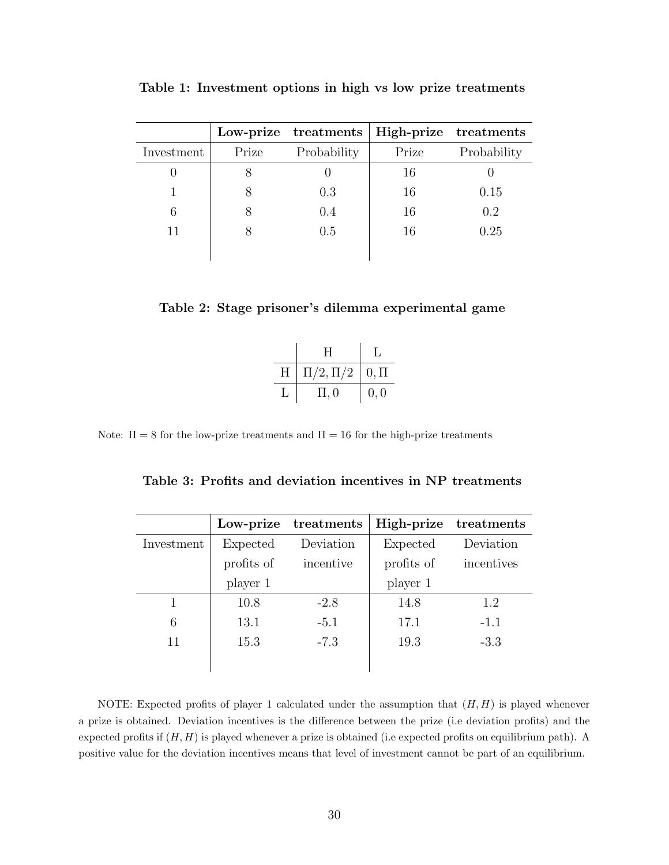|            |       | Low-prize treatments | High-prize treatments |             |
|------------|-------|----------------------|-----------------------|-------------|
| Investment | Prize | Probability          | Prize                 | Probability |
|            |       |                      | 16                    |             |
|            |       | 0.3                  | 16                    | 0.15        |
| 6          |       | 0.4                  | 16                    | 0.2         |
| 11         |       | 0.5                  | 16                    | 0.25        |
|            |       |                      |                       |             |

Table 1: Investment options in high vs low prize treatments

|  |  | Table 2: Stage prisoner's dilemma experimental game |  |
|--|--|-----------------------------------------------------|--|
|  |  |                                                     |  |

|   | H             |              |
|---|---------------|--------------|
| H | $\Pi/2,\Pi/2$ | $\mid 0,\Pi$ |
| L | $\Pi$ , 0     | 0, 0         |

Note:  $\Pi = 8$  for the low-prize treatments and  $\Pi = 16$  for the high-prize treatments

| Table 3: Profits and deviation incentives in NP treatments |  |  |  |  |  |
|------------------------------------------------------------|--|--|--|--|--|
|------------------------------------------------------------|--|--|--|--|--|

|            | Low-prize  | treatments | High-prize | treatments |
|------------|------------|------------|------------|------------|
| Investment | Expected   | Deviation  | Expected   | Deviation  |
|            | profits of | incentive  | profits of | incentives |
|            | player 1   |            | player 1   |            |
|            | 10.8       | $-2.8$     | 14.8       | 1.2        |
| 6          | 13.1       | $-5.1$     | 17.1       | $-1.1$     |
| 11         | 15.3       | $-7.3$     | 19.3       | $-3.3$     |
|            |            |            |            |            |

NOTE: Expected profits of player 1 calculated under the assumption that  $(H, H)$  is played whenever a prize is obtained. Deviation incentives is the difference between the prize (i.e deviation profits) and the expected profits if  $(H, H)$  is played whenever a prize is obtained (i.e expected profits on equilibrium path). A positive value for the deviation incentives means that level of investment cannot be part of an equilibrium.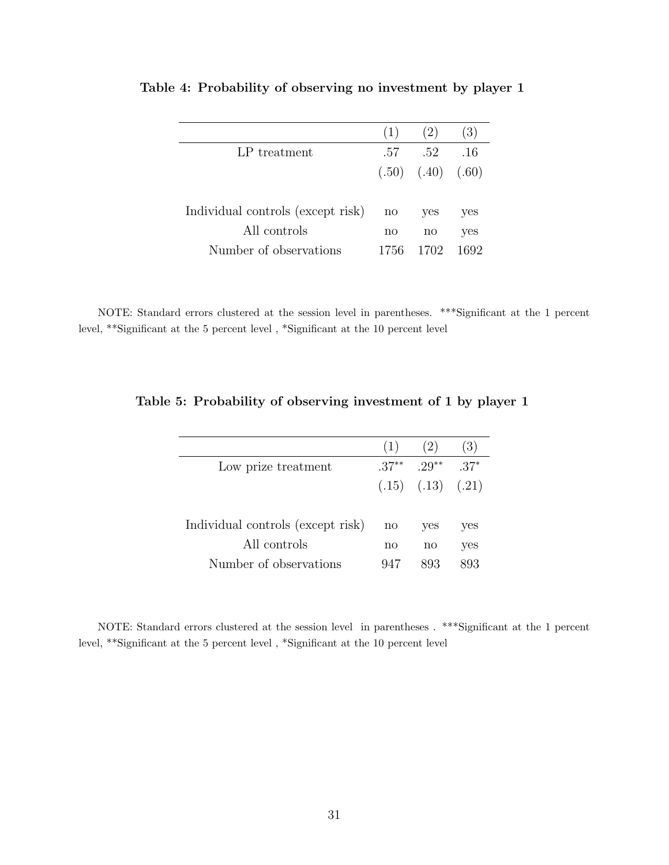|                                   | (1)  | (2)                     | (3)  |
|-----------------------------------|------|-------------------------|------|
| LP treatment                      | .57  | .52                     | .16  |
|                                   |      | $(.50)$ $(.40)$ $(.60)$ |      |
|                                   |      |                         |      |
| Individual controls (except risk) | no   | yes                     | yes  |
| All controls                      | no   | no                      | yes  |
| Number of observations            | 1756 | 1702.                   | 1692 |

Table 4: Probability of observing no investment by player 1

NOTE: Standard errors clustered at the session level in parentheses. \*\*\*Significant at the 1 percent level, \*\*Significant at the 5 percent level , \*Significant at the 10 percent level

|                                   | (1)          | (2)                     | (3)    |
|-----------------------------------|--------------|-------------------------|--------|
| Low prize treatment               | $37**$       | $.29***$                | $.37*$ |
|                                   |              | $(.15)$ $(.13)$ $(.21)$ |        |
|                                   |              |                         |        |
| Individual controls (except risk) | $\mathbf{n}$ | yes                     | yes    |
| All controls                      | no           | no                      | yes    |
| Number of observations            | 947          |                         | 893    |

Table 5: Probability of observing investment of 1 by player 1

NOTE: Standard errors clustered at the session level in parentheses . \*\*\*Significant at the 1 percent level, \*\*Significant at the 5 percent level , \*Significant at the 10 percent level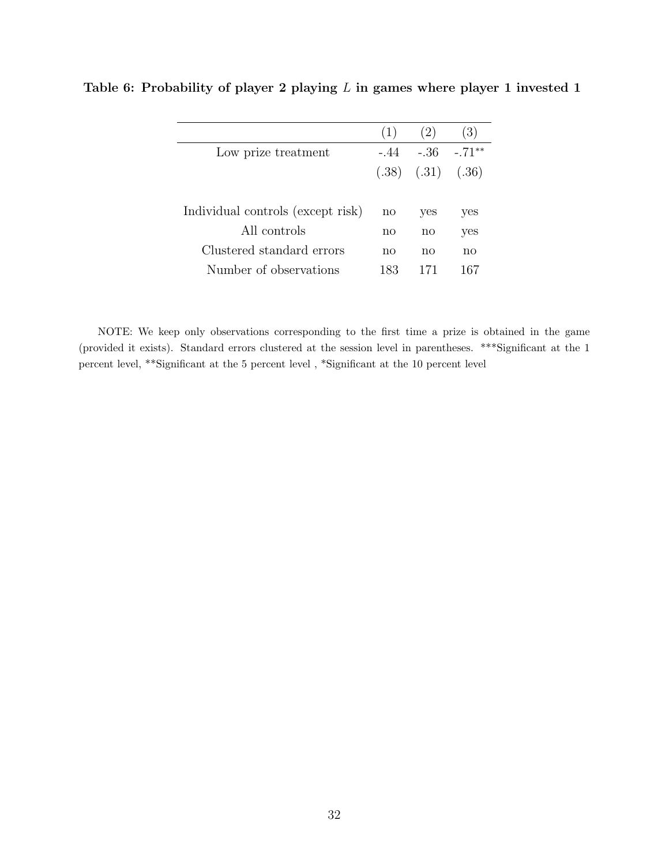|                                   | (1)          | 2)                      | (3)      |
|-----------------------------------|--------------|-------------------------|----------|
| Low prize treatment               | $-.44$       | - 36                    | $-.71**$ |
|                                   |              | $(.38)$ $(.31)$ $(.36)$ |          |
|                                   |              |                         |          |
| Individual controls (except risk) | $\mathbf{n}$ | yes                     | yes      |
| All controls                      | no           | no                      | yes      |
| Clustered standard errors         | no           | no                      | no       |
| Number of observations            | 183          | 171                     | 167      |
|                                   |              |                         |          |

Table 6: Probability of player 2 playing  $L$  in games where player 1 invested 1

NOTE: We keep only observations corresponding to the first time a prize is obtained in the game (provided it exists). Standard errors clustered at the session level in parentheses. \*\*\*Significant at the 1 percent level, \*\*Significant at the 5 percent level , \*Significant at the 10 percent level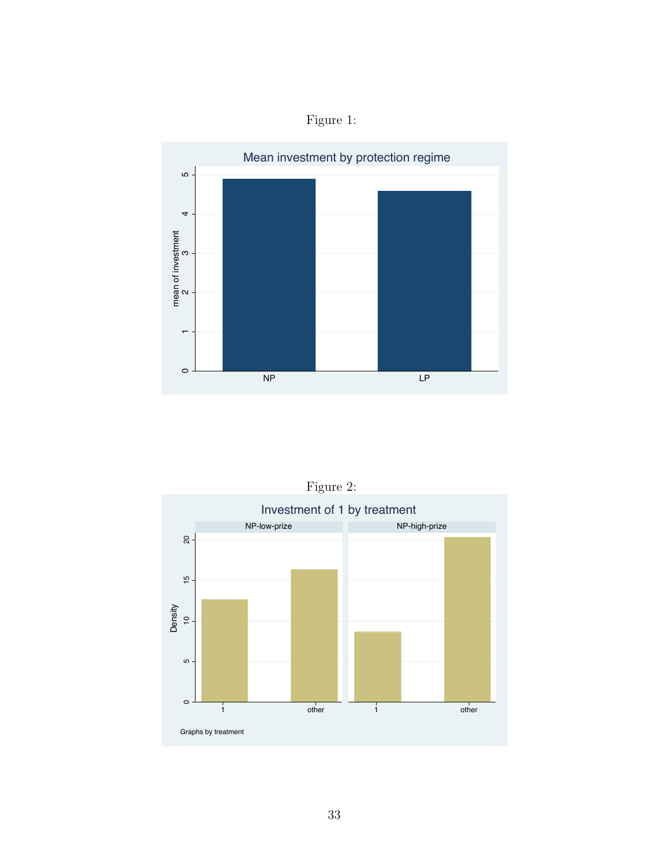



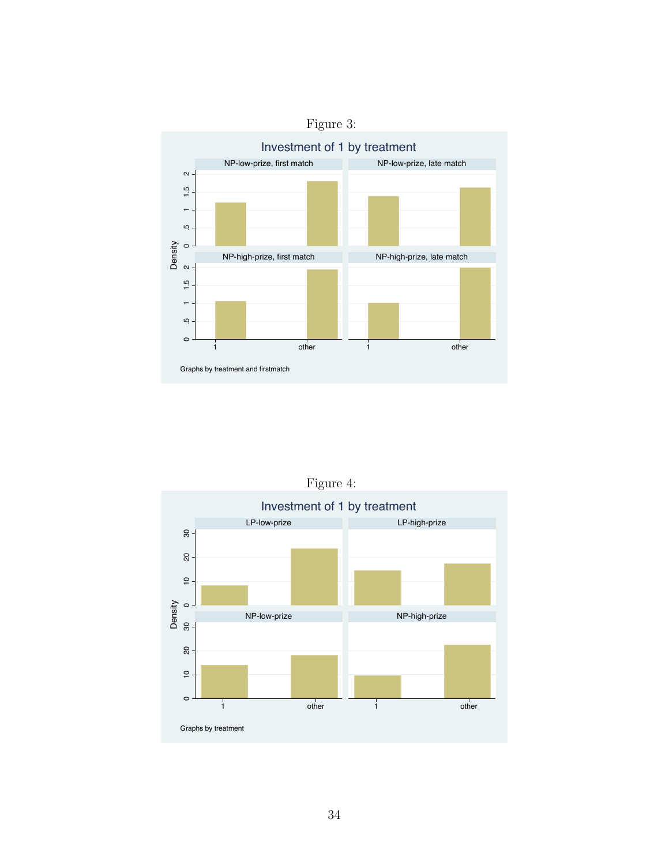



Figure 4: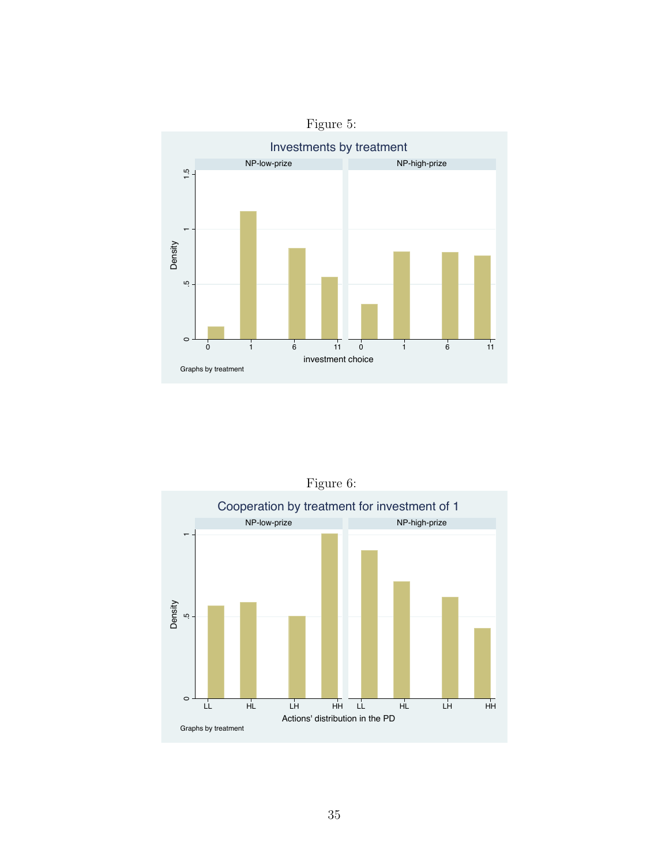

Figure 6: Cooperation by treatment for investment of 1 NP-low-prize NP-high-prize **.**<br>5 المسابق Density io.  $\circ$ LL HL LH HH LL HL LH HH Actions' distribution in the PD Graphs by treatment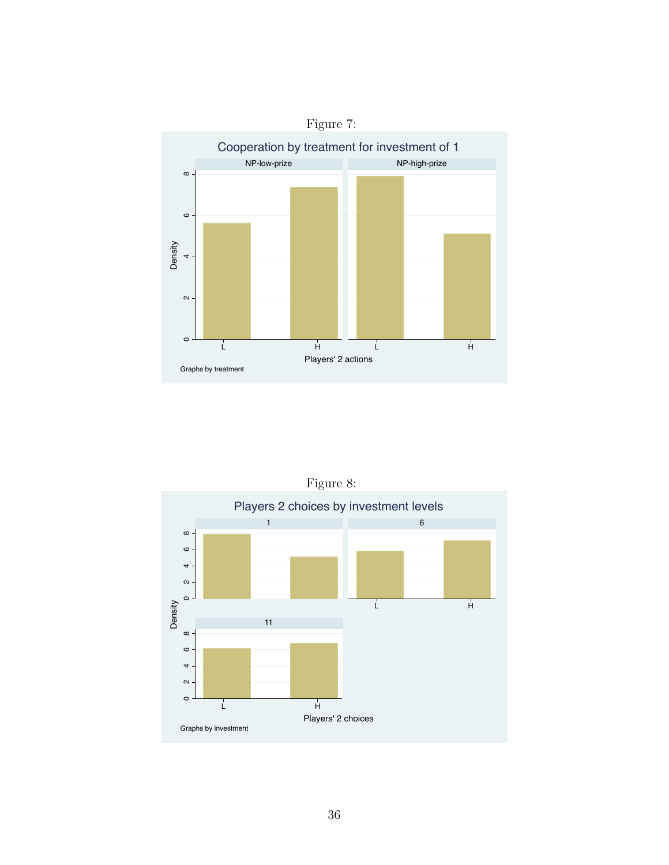



Figure 8: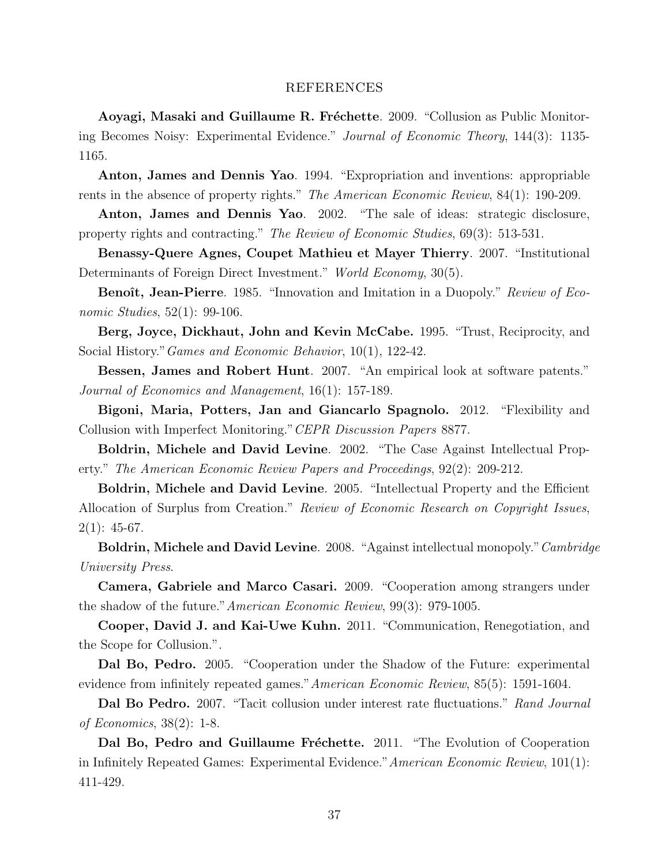#### REFERENCES

Aoyagi, Masaki and Guillaume R. Fréchette. 2009. "Collusion as Public Monitoring Becomes Noisy: Experimental Evidence." Journal of Economic Theory, 144(3): 1135- 1165.

Anton, James and Dennis Yao. 1994. "Expropriation and inventions: appropriable rents in the absence of property rights." The American Economic Review, 84(1): 190-209.

Anton, James and Dennis Yao. 2002. "The sale of ideas: strategic disclosure, property rights and contracting." The Review of Economic Studies, 69(3): 513-531.

Benassy-Quere Agnes, Coupet Mathieu et Mayer Thierry. 2007. "Institutional Determinants of Foreign Direct Investment." World Economy, 30(5).

Benoît, Jean-Pierre. 1985. "Innovation and Imitation in a Duopoly." Review of Economic Studies, 52(1): 99-106.

Berg, Joyce, Dickhaut, John and Kevin McCabe. 1995. "Trust, Reciprocity, and Social History."Games and Economic Behavior, 10(1), 122-42.

Bessen, James and Robert Hunt. 2007. "An empirical look at software patents." Journal of Economics and Management, 16(1): 157-189.

Bigoni, Maria, Potters, Jan and Giancarlo Spagnolo. 2012. "Flexibility and Collusion with Imperfect Monitoring."CEPR Discussion Papers 8877.

Boldrin, Michele and David Levine. 2002. "The Case Against Intellectual Property." The American Economic Review Papers and Proceedings, 92(2): 209-212.

Boldrin, Michele and David Levine. 2005. "Intellectual Property and the Efficient Allocation of Surplus from Creation." Review of Economic Research on Copyright Issues,  $2(1): 45-67.$ 

Boldrin, Michele and David Levine. 2008. "Against intellectual monopoly." Cambridge University Press.

Camera, Gabriele and Marco Casari. 2009. "Cooperation among strangers under the shadow of the future."American Economic Review, 99(3): 979-1005.

Cooper, David J. and Kai-Uwe Kuhn. 2011. "Communication, Renegotiation, and the Scope for Collusion.".

Dal Bo, Pedro. 2005. "Cooperation under the Shadow of the Future: experimental evidence from infinitely repeated games."American Economic Review, 85(5): 1591-1604.

Dal Bo Pedro. 2007. "Tacit collusion under interest rate fluctuations." Rand Journal of Economics, 38(2): 1-8.

Dal Bo, Pedro and Guillaume Fréchette. 2011. "The Evolution of Cooperation in Infinitely Repeated Games: Experimental Evidence."American Economic Review, 101(1): 411-429.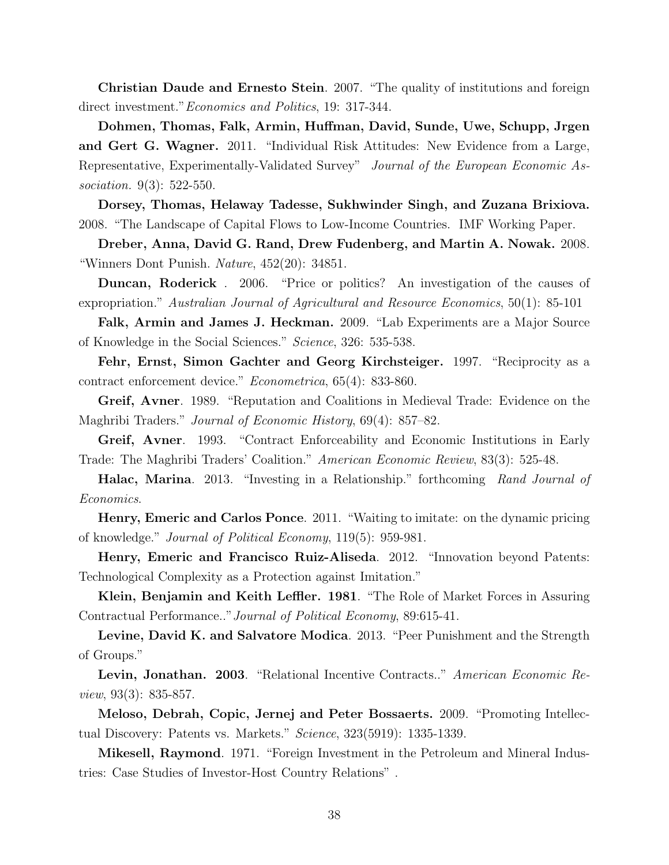Christian Daude and Ernesto Stein. 2007. "The quality of institutions and foreign direct investment." *Economics and Politics*, 19: 317-344.

Dohmen, Thomas, Falk, Armin, Huffman, David, Sunde, Uwe, Schupp, Jrgen and Gert G. Wagner. 2011. "Individual Risk Attitudes: New Evidence from a Large, Representative, Experimentally-Validated Survey" Journal of the European Economic Association. 9(3): 522-550.

Dorsey, Thomas, Helaway Tadesse, Sukhwinder Singh, and Zuzana Brixiova. 2008. "The Landscape of Capital Flows to Low-Income Countries. IMF Working Paper.

Dreber, Anna, David G. Rand, Drew Fudenberg, and Martin A. Nowak. 2008. "Winners Dont Punish. Nature,  $452(20)$ : 34851.

Duncan, Roderick . 2006. "Price or politics? An investigation of the causes of expropriation." Australian Journal of Agricultural and Resource Economics, 50(1): 85-101

Falk, Armin and James J. Heckman. 2009. "Lab Experiments are a Major Source of Knowledge in the Social Sciences." Science, 326: 535-538.

Fehr, Ernst, Simon Gachter and Georg Kirchsteiger. 1997. "Reciprocity as a contract enforcement device." Econometrica, 65(4): 833-860.

Greif, Avner. 1989. "Reputation and Coalitions in Medieval Trade: Evidence on the Maghribi Traders." *Journal of Economic History*, 69(4): 857–82.

Greif, Avner. 1993. "Contract Enforceability and Economic Institutions in Early Trade: The Maghribi Traders' Coalition." American Economic Review, 83(3): 525-48.

Halac, Marina. 2013. "Investing in a Relationship." forthcoming Rand Journal of Economics.

Henry, Emeric and Carlos Ponce. 2011. "Waiting to imitate: on the dynamic pricing of knowledge." Journal of Political Economy, 119(5): 959-981.

Henry, Emeric and Francisco Ruiz-Aliseda. 2012. "Innovation beyond Patents: Technological Complexity as a Protection against Imitation."

Klein, Benjamin and Keith Leffler. 1981. "The Role of Market Forces in Assuring Contractual Performance.."Journal of Political Economy, 89:615-41.

Levine, David K. and Salvatore Modica. 2013. "Peer Punishment and the Strength of Groups."

Levin, Jonathan. 2003. "Relational Incentive Contracts.." American Economic Review, 93(3): 835-857.

Meloso, Debrah, Copic, Jernej and Peter Bossaerts. 2009. "Promoting Intellectual Discovery: Patents vs. Markets." Science, 323(5919): 1335-1339.

Mikesell, Raymond. 1971. "Foreign Investment in the Petroleum and Mineral Industries: Case Studies of Investor-Host Country Relations" .